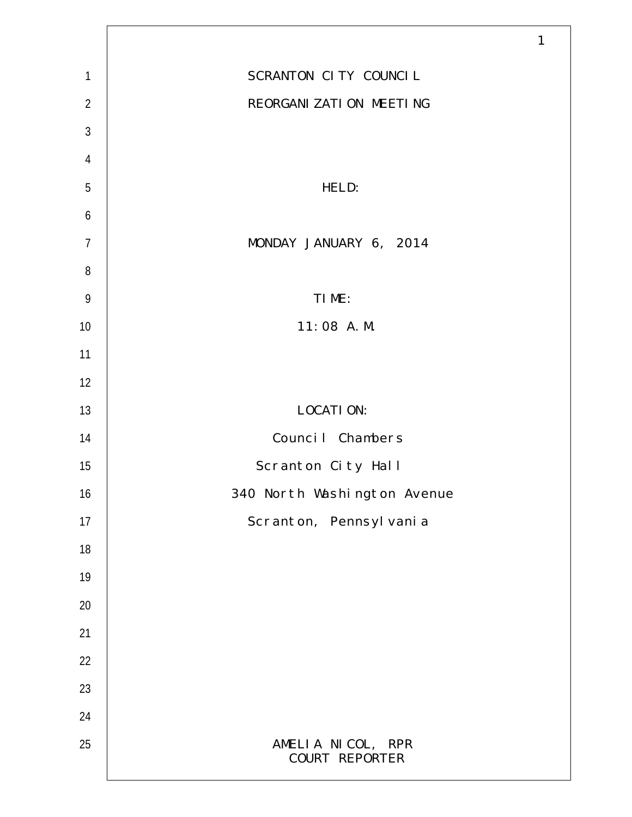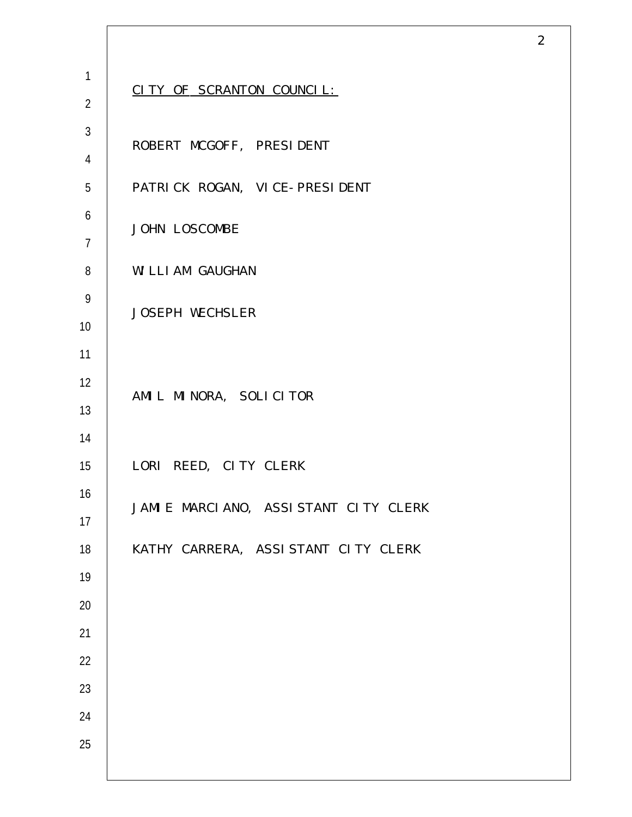|                  |                                      | $\overline{2}$ |
|------------------|--------------------------------------|----------------|
| $\mathbf{1}$     |                                      |                |
| $\overline{2}$   | CITY OF SCRANTON COUNCIL:            |                |
| $\mathfrak{Z}$   | ROBERT MCGOFF, PRESIDENT             |                |
| $\overline{4}$   |                                      |                |
| $\overline{5}$   | PATRICK ROGAN, VICE-PRESIDENT        |                |
| $\boldsymbol{6}$ | JOHN LOSCOMBE                        |                |
| $\overline{7}$   |                                      |                |
| $\, 8$           | WILLIAM GAUGHAN                      |                |
| $\boldsymbol{9}$ | JOSEPH WECHSLER                      |                |
| 10               |                                      |                |
| 11               |                                      |                |
| 12               | AMIL MINORA, SOLICITOR               |                |
| 13               |                                      |                |
| 14<br>15         | LORI REED, CITY CLERK                |                |
| 16               |                                      |                |
| 17               | JAMIE MARCIANO, ASSISTANT CITY CLERK |                |
| 18               | KATHY CARRERA, ASSISTANT CITY CLERK  |                |
| $19$             |                                      |                |
| $20\,$           |                                      |                |
| 21               |                                      |                |
| 22               |                                      |                |
| 23               |                                      |                |
| 24               |                                      |                |
| 25               |                                      |                |
|                  |                                      |                |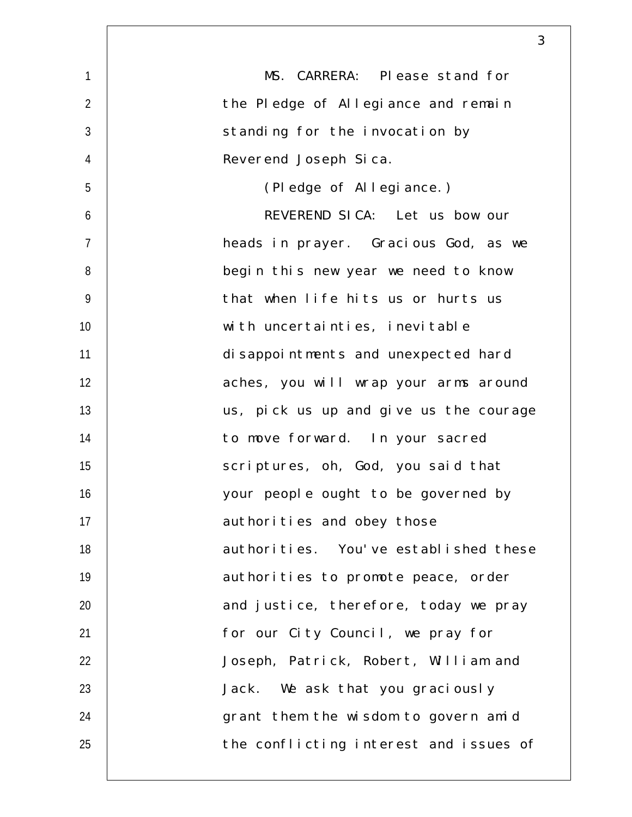|                | 3                                      |
|----------------|----------------------------------------|
| $\mathbf{1}$   | MS. CARRERA: Please stand for          |
| $\overline{2}$ | the Pledge of Allegiance and remain    |
| 3              | standing for the invocation by         |
| $\overline{4}$ | Reverend Joseph Sica.                  |
| 5              | (Pledge of Allegiance.)                |
| 6              | REVEREND SICA: Let us bow our          |
| $\overline{7}$ | heads in prayer. Gracious God, as we   |
| 8              | begin this new year we need to know    |
| 9              | that when life hits us or hurts us     |
| 10             | with uncertainties, inevitable         |
| 11             | disappointments and unexpected hard    |
| 12             | aches, you will wrap your arms around  |
| 13             | us, pick us up and give us the courage |
| 14             | to move forward. In your sacred        |
| 15             | scriptures, oh, God, you said that     |
| 16             | your people ought to be governed by    |
| 17             | authorities and obey those             |
| 18             | authorities. You've established these  |
| 19             | authorities to promote peace, order    |
| 20             | and justice, therefore, today we pray  |
| 21             | for our City Council, we pray for      |
| 22             | Joseph, Patrick, Robert, William and   |
| 23             | Jack. We ask that you graciously       |
| 24             | grant them the wisdom to govern amid   |
| 25             | the conflicting interest and issues of |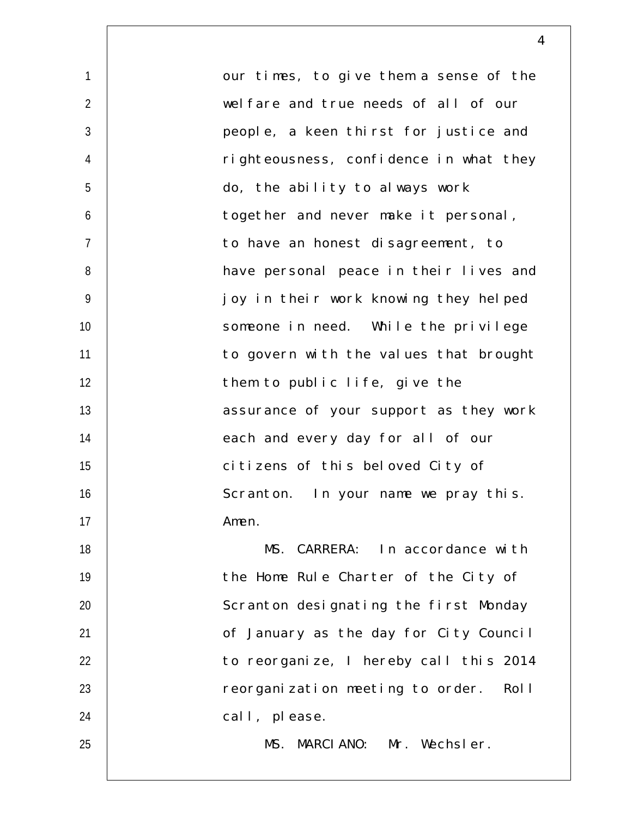1  $\mathfrak{D}$ 3 4 5 6 7 8 9 10 11 12 13 14 15 16 17 18 19 20 21 22 23 24 25 our times, to give them a sense of the welfare and true needs of all of our people, a keen thirst for justice and righteousness, confidence in what they do, the ability to always work together and never make it personal, to have an honest disagreement, to have personal peace in their lives and joy in their work knowing they helped someone in need. While the privilege to govern with the values that brought them to public life, give the assurance of your support as they work each and every day for all of our citizens of this beloved City of Scranton. In your name we pray this. Amen. MS. CARRERA: In accordance with the Home Rule Charter of the City of Scranton designating the first Monday of January as the day for City Council to reorganize, I hereby call this 2014 reorganization meeting to order. Roll call, please. MS. MARCIANO: Mr. Wechsler.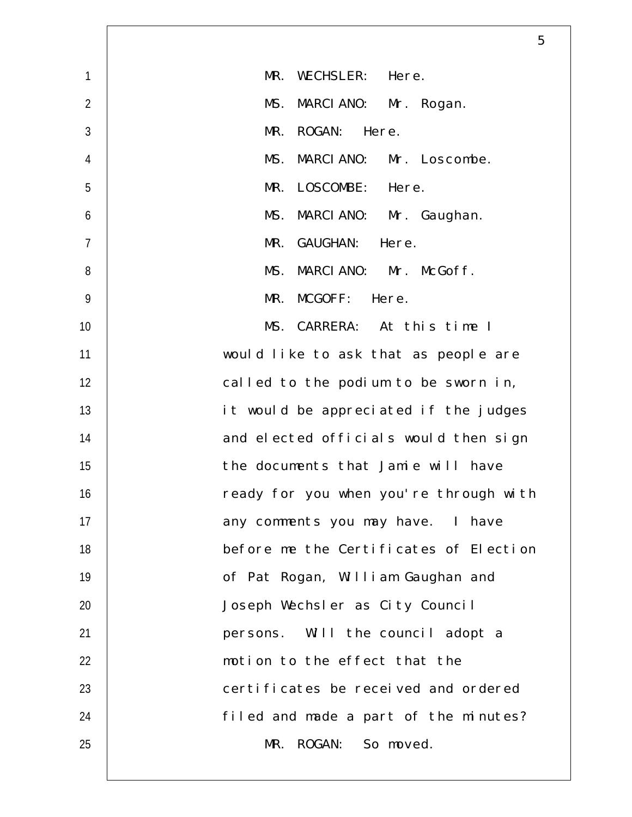|                | 5                                      |
|----------------|----------------------------------------|
| $\mathbf{1}$   | MR.<br>WECHSLER: Here.                 |
| $\overline{2}$ | MARCIANO: Mr. Rogan.<br>MS.            |
| 3              | MR.<br>ROGAN: Here.                    |
| $\overline{4}$ | MARCIANO: Mr. Loscombe.<br>MS.         |
| 5              | LOSCOMBE: Here.<br>MR.                 |
| 6              | MS.<br>MARCIANO: Mr. Gaughan.          |
| $\overline{7}$ | GAUGHAN: Here.<br>MR.                  |
| 8              | MARCIANO: Mr. McGoff.<br>MS.           |
| 9              | MCGOFF: Here.<br>MR.                   |
| 10             | MS. CARRERA: At this time I            |
| 11             | would like to ask that as people are   |
| 12             | called to the podium to be sworn in,   |
| 13             | it would be appreciated if the judges  |
| 14             | and elected officials would then sign  |
| 15             | the documents that Jamie will have     |
| 16             | ready for you when you're through with |
| 17             | any comments you may have. I have      |
| 18             | before me the Certificates of Election |
| 19             | of Pat Rogan, William Gaughan and      |
| 20             | Joseph Wechsler as City Council        |
| 21             | persons. Will the council adopt a      |
| 22             | motion to the effect that the          |
| 23             | certificates be received and ordered   |
| 24             | filed and made a part of the minutes?  |
| 25             | MR. ROGAN: So moved.                   |
|                |                                        |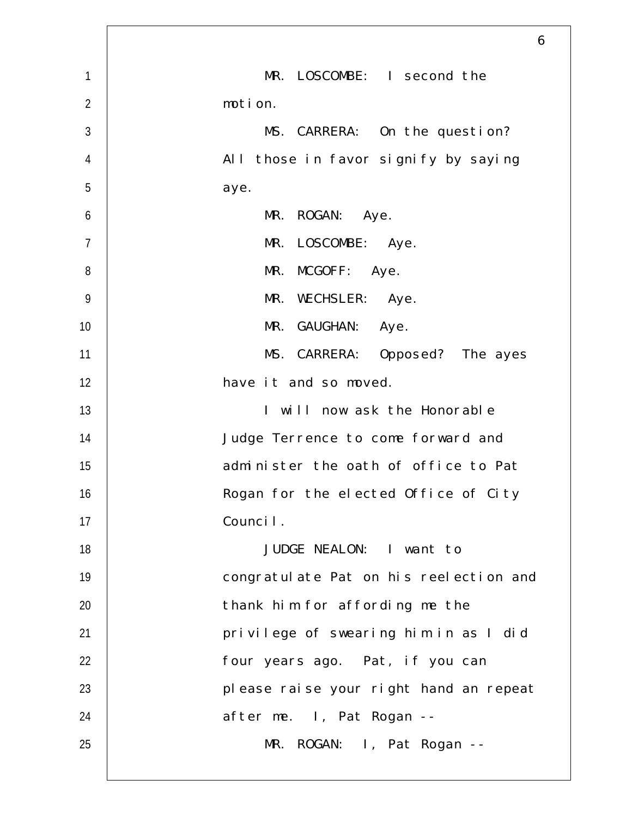|                | 6                                      |
|----------------|----------------------------------------|
| $\mathbf{1}$   | MR. LOSCOMBE: I second the             |
| $\overline{2}$ | motion.                                |
| 3              | MS. CARRERA: On the question?          |
| $\overline{4}$ | All those in favor signify by saying   |
| 5              | aye.                                   |
| 6              | MR. ROGAN: Aye.                        |
| $\overline{7}$ | MR. LOSCOMBE: Aye.                     |
| 8              | MR. MCGOFF: Aye.                       |
| $\overline{9}$ | MR. WECHSLER: Aye.                     |
| 10             | MR. GAUGHAN: Aye.                      |
| 11             | MS. CARRERA: Opposed? The ayes         |
| 12             | have it and so moved.                  |
| 13             | I will now ask the Honorable           |
| 14             | Judge Terrence to come forward and     |
| 15             | administer the oath of office to Pat   |
| 16             | Rogan for the elected Office of City   |
| 17             | Council.                               |
| 18             | JUDGE NEALON: I want to                |
| 19             | congratulate Pat on his reelection and |
| 20             | thank him for affording me the         |
| 21             | privilege of swearing him in as I did  |
| 22             | four years ago. Pat, if you can        |
| 23             | please raise your right hand an repeat |
| 24             | after me. I, Pat Rogan --              |
| 25             | MR. ROGAN: I, Pat Rogan --             |
|                |                                        |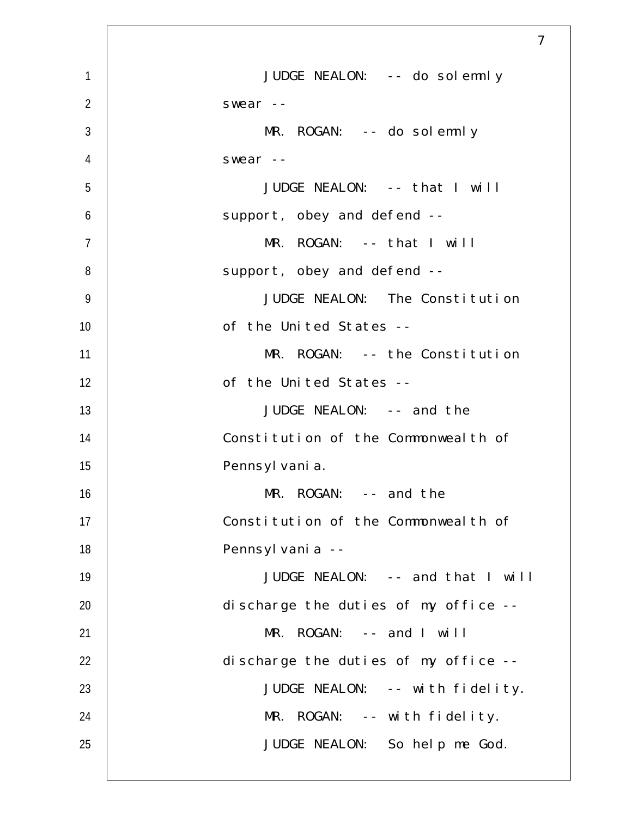|                | $\overline{7}$                       |
|----------------|--------------------------------------|
| $\mathbf{1}$   | JUDGE NEALON: -- do solemnly         |
| $\overline{2}$ | swear --                             |
| 3              | $MR. ROGAN: -- do soldemnly$         |
| $\overline{4}$ | swear --                             |
| 5              | JUDGE NEALON: -- that I will         |
| 6              | support, obey and defend --          |
| $\overline{7}$ | $MR. ROGAN: -- that I will$          |
| 8              | support, obey and defend --          |
| $\overline{9}$ | JUDGE NEALON: The Constitution       |
| 10             | of the United States --              |
| 11             | MR. ROGAN: -- the Constitution       |
| 12             | of the United States --              |
| 13             | JUDGE NEALON: -- and the             |
| 14             | Constitution of the Commonweal th of |
| 15             | Pennsyl vani a.                      |
| 16             | MR. ROGAN: -- and the                |
| 17             | Constitution of the Commonweal th of |
| 18             | Pennsyl vani a --                    |
| 19             | JUDGE NEALON: -- and that I will     |
| 20             | discharge the duties of my office -- |
| 21             | MR. ROGAN: -- and I will             |
| 22             | discharge the duties of my office -- |
| 23             | JUDGE NEALON: -- with fidelity.      |
| 24             | MR. ROGAN: -- with fidelity.         |
| 25             | JUDGE NEALON: So help me God.        |
|                |                                      |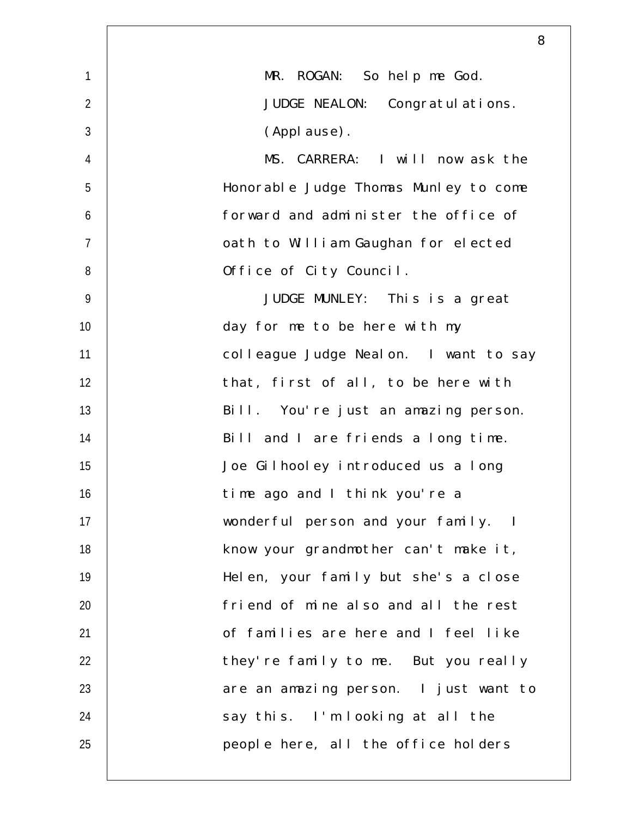|                | 8                                     |
|----------------|---------------------------------------|
| $\mathbf{1}$   | MR. ROGAN: So help me God.            |
| $\overline{2}$ | JUDGE NEALON: Congratulations.        |
| $\mathfrak{Z}$ | (Applause).                           |
| $\overline{4}$ | MS. CARRERA: I will now ask the       |
| 5              | Honorable Judge Thomas Munley to come |
| 6              | forward and administer the office of  |
| $\overline{7}$ | oath to William Gaughan for elected   |
| 8              | Office of City Council.               |
| $\overline{9}$ | JUDGE MUNLEY: This is a great         |
| 10             | day for me to be here with my         |
| 11             | colleague Judge Nealon. I want to say |
| 12             | that, first of all, to be here with   |
| 13             | Bill. You're just an amazing person.  |
| 14             | Bill and I are friends a long time.   |
| 15             | Joe Gilhooley introduced us a long    |
| 16             | time ago and I think you're a         |
| 17             | wonderful person and your family. I   |
| 18             | know your grandmother can't make it,  |
| 19             | Helen, your family but she's a close  |
| 20             | friend of mine also and all the rest  |
| 21             | of families are here and I feel like  |
| 22             | they're family to me. But you really  |
| 23             | are an amazing person. I just want to |
| 24             | say this. I'm looking at all the      |
| 25             | people here, all the office holders   |
|                |                                       |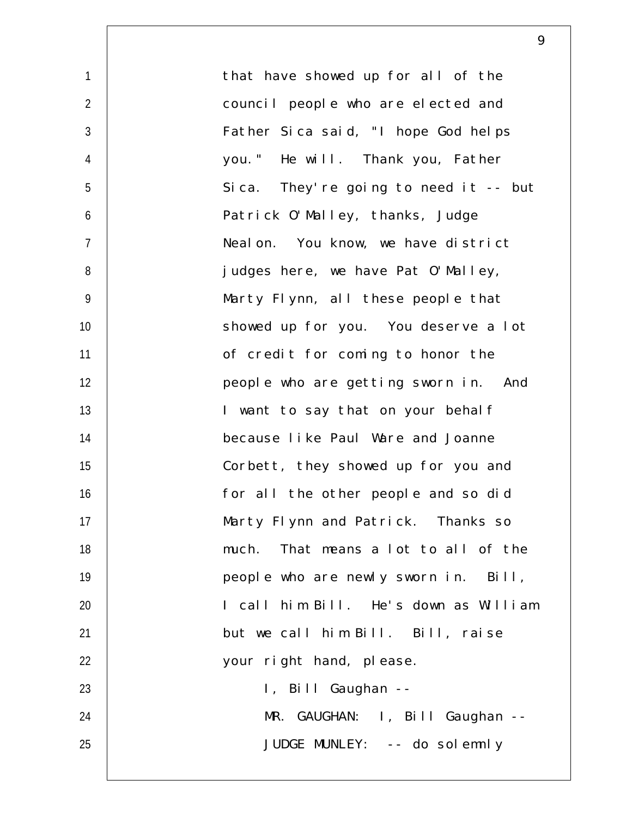1  $\mathfrak{D}$ 3 4 5 6 7 8 9 10 11 12 13 14 15 16 17 18 19 20 21 22 23 24 25 that have showed up for all of the council people who are elected and Father Sica said, "I hope God helps you." He will. Thank you, Father Sica. They're going to need it -- but Patrick O'Malley, thanks, Judge Nealon. You know, we have district judges here, we have Pat O'Malley, Marty Flynn, all these people that showed up for you. You deserve a lot of credit for coming to honor the people who are getting sworn in. And I want to say that on your behalf because like Paul Ware and Joanne Corbett, they showed up for you and for all the other people and so did Marty Flynn and Patrick. Thanks so much. That means a lot to all of the people who are newly sworn in. Bill, I call him Bill. He's down as William but we call him Bill. Bill, raise your right hand, please. I, Bill Gaughan -- MR. GAUGHAN: I, Bill Gaughan -- JUDGE MUNLEY: -- do solemnly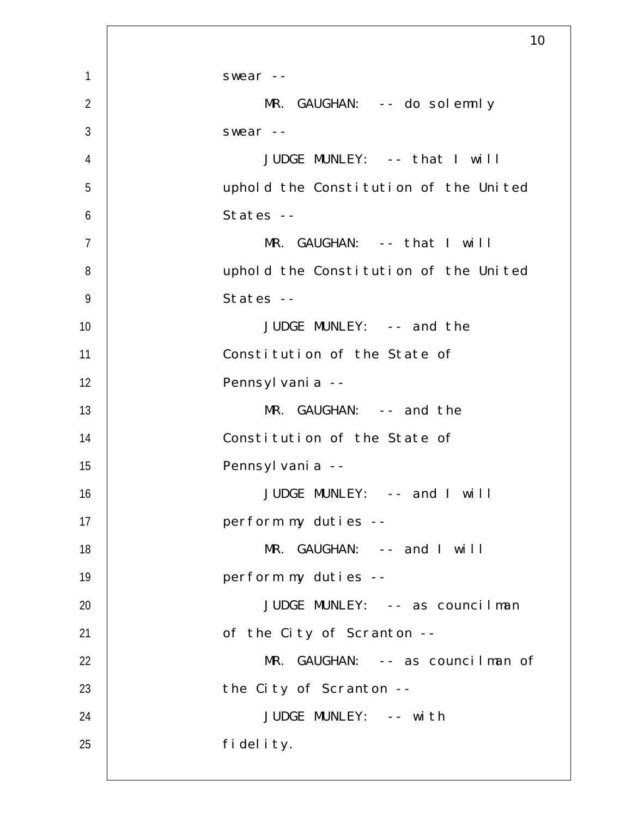|                | 10                                    |
|----------------|---------------------------------------|
| $\mathbf{1}$   | swear $--$                            |
| $\overline{2}$ | MR. GAUGHAN: -- do solemnly           |
| $\mathfrak{Z}$ | swear --                              |
| 4              | JUDGE MUNLEY: -- that I will          |
| 5              | uphold the Constitution of the United |
| 6              | States --                             |
| $\overline{7}$ | MR. GAUGHAN: -- that I will           |
| 8              | uphold the Constitution of the United |
| $\overline{9}$ | States --                             |
| 10             | JUDGE MUNLEY: -- and the              |
| 11             | Constitution of the State of          |
| 12             | Pennsyl vani a --                     |
| 13             | $MR.$ GAUGHAN: $-$ - and the          |
| 14             | Constitution of the State of          |
| 15             | Pennsyl vani a --                     |
| 16             | JUDGE MUNLEY: -- and I will           |
| 17             | perform my duties --                  |
| 18             | MR. GAUGHAN: -- and I will            |
| 19             | perform my duties --                  |
| 20             | JUDGE MUNLEY: -- as councilman        |
| 21             | of the City of Scranton --            |
| 22             | MR. GAUGHAN: -- as councilman of      |
| 23             | the City of Scranton --               |
| 24             | JUDGE MUNLEY: -- with                 |
| 25             | fidelity.                             |
|                |                                       |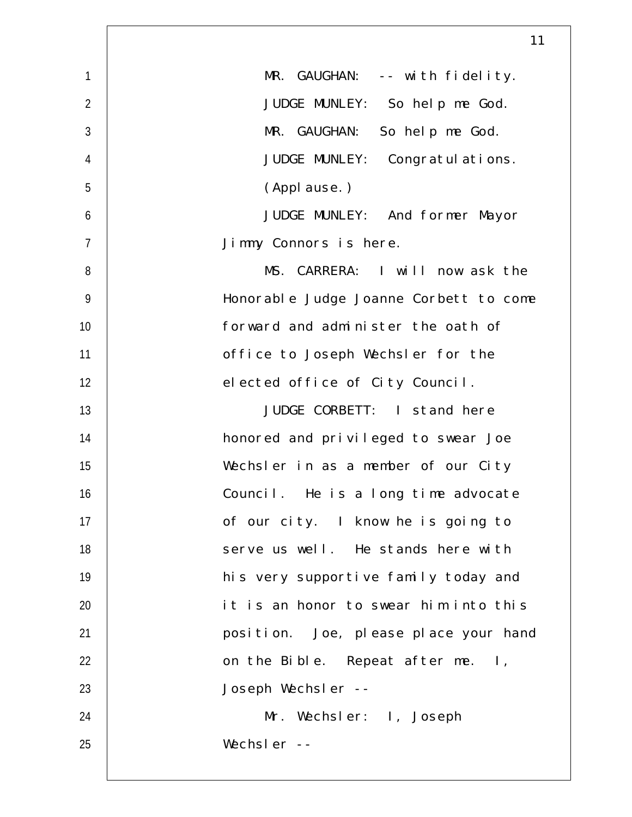|                | 11                                     |
|----------------|----------------------------------------|
| $\mathbf{1}$   | MR. GAUGHAN: -- with fidelity.         |
| $\overline{2}$ | JUDGE MUNLEY: So help me God.          |
| 3              | MR. GAUGHAN: So help me God.           |
| $\overline{4}$ | JUDGE MUNLEY: Congratul ations.        |
| 5              | (Applause.)                            |
| 6              | JUDGE MUNLEY: And former Mayor         |
| $\overline{7}$ | Jimmy Connors is here.                 |
| 8              | MS. CARRERA: I will now ask the        |
| $\overline{9}$ | Honorable Judge Joanne Corbett to come |
| 10             | forward and administer the oath of     |
| 11             | office to Joseph Wechsler for the      |
| 12             | elected office of City Council.        |
| 13             | JUDGE CORBETT: I stand here            |
| 14             | honored and privileged to swear Joe    |
| 15             | Wechsler in as a member of our City    |
| 16             | Council. He is a long time advocate    |
| 17             | of our city. I know he is going to     |
| 18             | serve us well. He stands here with     |
| 19             | his very supportive family today and   |
| 20             | it is an honor to swear him into this  |
| 21             | position. Joe, please place your hand  |
| 22             | on the Bible. Repeat after me. I,      |
| 23             | Joseph Wechsler --                     |
| 24             | Mr. Wechsler: I, Joseph                |
| 25             | Wechsler --                            |
|                |                                        |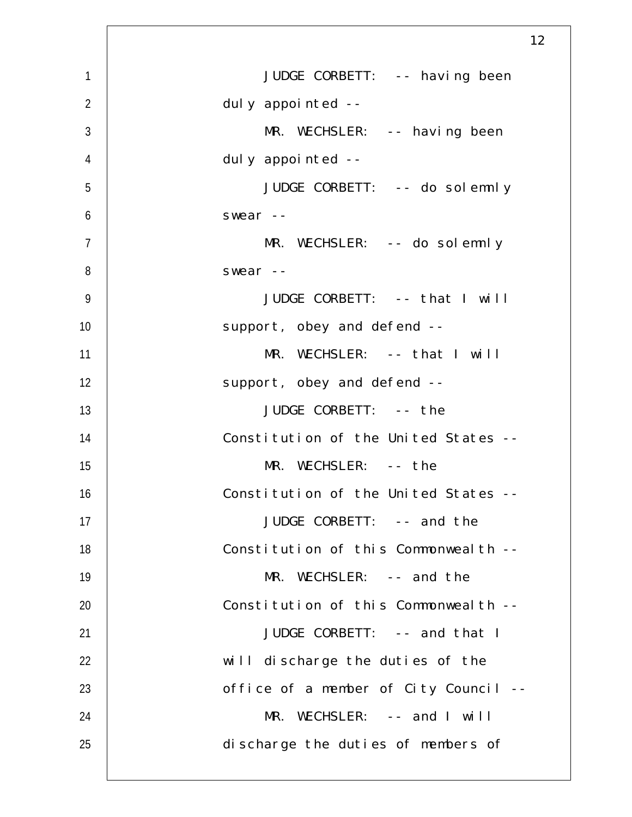|                  | 12                                    |
|------------------|---------------------------------------|
| $\mathbf{1}$     | JUDGE CORBETT: -- having been         |
| $\overline{2}$   | duly appointed --                     |
| $\mathfrak{Z}$   | $MR. WECHSLER: -- having been$        |
| $\overline{4}$   | duly appointed --                     |
| 5                | JUDGE CORBETT: -- do solemnly         |
| $\boldsymbol{6}$ | swear --                              |
| $\overline{7}$   | $MR. WECHSLER: -- do solennly$        |
| 8                | swear $--$                            |
| $\overline{9}$   | JUDGE CORBETT: -- that I will         |
| 10               | support, obey and defend --           |
| 11               | MR. WECHSLER: -- that I will          |
| 12               | support, obey and defend --           |
| 13               | JUDGE CORBETT: -- the                 |
| 14               | Constitution of the United States --  |
| 15               | MR. WECHSLER: -- the                  |
| 16               | Constitution of the United States --  |
| 17               | JUDGE CORBETT: -- and the             |
| 18               | Constitution of this Commonwealth --  |
| 19               | $MR. WECHSLER: -- and the$            |
| 20               | Constitution of this Commonwealth --  |
| 21               | JUDGE CORBETT: -- and that I          |
| 22               | will discharge the duties of the      |
| 23               | office of a member of City Council -- |
| 24               | MR. WECHSLER: -- and I will           |
| 25               | discharge the duties of members of    |
|                  |                                       |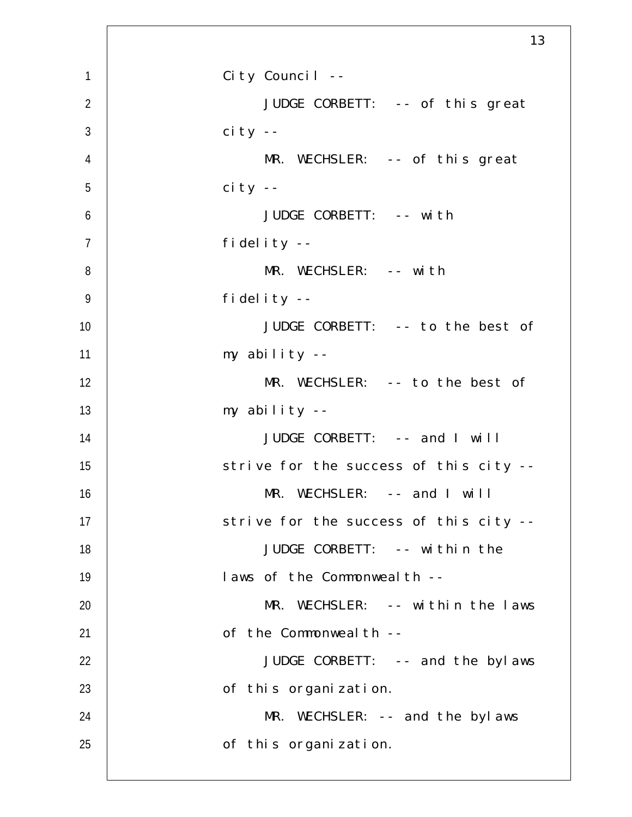|                | 13                                     |
|----------------|----------------------------------------|
| $\mathbf{1}$   | City Council --                        |
| $\overline{2}$ | JUDGE CORBETT: -- of this great        |
| $\mathfrak{Z}$ | $ci$ ty --                             |
| $\overline{4}$ | MR. WECHSLER: -- of this great         |
| 5              | $ci$ ty --                             |
| 6              | JUDGE CORBETT: -- with                 |
| $\overline{7}$ | fidelity $-$                           |
| 8              | MR. WECHSLER: -- with                  |
| $\overline{9}$ | fidelity --                            |
| 10             | JUDGE CORBETT: -- to the best of       |
| 11             | my ability --                          |
| 12             | MR. WECHSLER: -- to the best of        |
| 13             | my ability --                          |
| 14             | JUDGE CORBETT: -- and I will           |
| 15             | strive for the success of this city -- |
| 16             | $MR. WECHSLER: -- and I will$          |
| 17             | strive for the success of this city -- |
| 18             | JUDGE CORBETT: -- within the           |
| 19             | laws of the Commonweal th --           |
| 20             | MR. WECHSLER: -- within the laws       |
| 21             | of the Commonweal th --                |
| 22             | JUDGE CORBETT: -- and the bylaws       |
| 23             | of this organization.                  |
| 24             | MR. WECHSLER: -- and the bylaws        |
| 25             | of this organization.                  |
|                |                                        |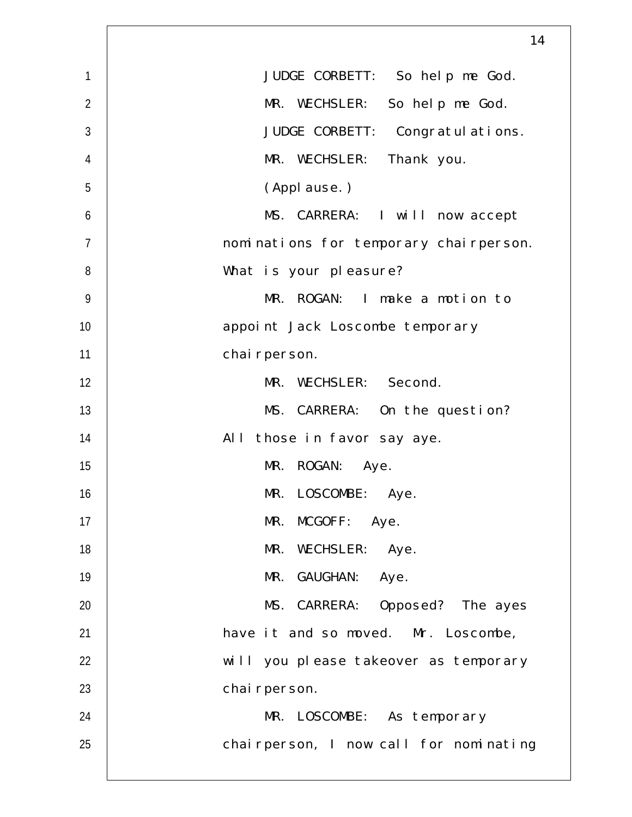|                | 14                                     |
|----------------|----------------------------------------|
| 1              | JUDGE CORBETT: So help me God.         |
| $\overline{2}$ | MR. WECHSLER: So help me God.          |
| 3              | JUDGE CORBETT: Congratul ations.       |
| 4              | MR. WECHSLER:<br>Thank you.            |
| 5              | (Applause.)                            |
| 6              | MS. CARRERA: I will now accept         |
| $\overline{7}$ | nominations for temporary chairperson. |
| 8              | What is your pleasure?                 |
| 9              | MR. ROGAN: I make a motion to          |
| 10             | appoint Jack Loscombe temporary        |
| 11             | chai rperson.                          |
| 12             | MR. WECHSLER: Second.                  |
| 13             | MS. CARRERA: On the question?          |
| 14             | $AI$ $I$<br>those in favor say aye.    |
| 15             | MR. ROGAN:<br>Aye.                     |
| 16             | MR. LOSCOMBE: Aye.                     |
| 17             | MR. MCGOFF: Aye.                       |
| 18             | MR. WECHSLER: Aye.                     |
| 19             | MR. GAUGHAN: Aye.                      |
| 20             | MS. CARRERA: Opposed? The ayes         |
| 21             | have it and so moved. Mr. Loscombe,    |
| 22             | will you please takeover as temporary  |
| 23             | chai rperson.                          |
| 24             | MR. LOSCOMBE: As temporary             |
| 25             | chairperson, I now call for nominating |
|                |                                        |

 $\Gamma$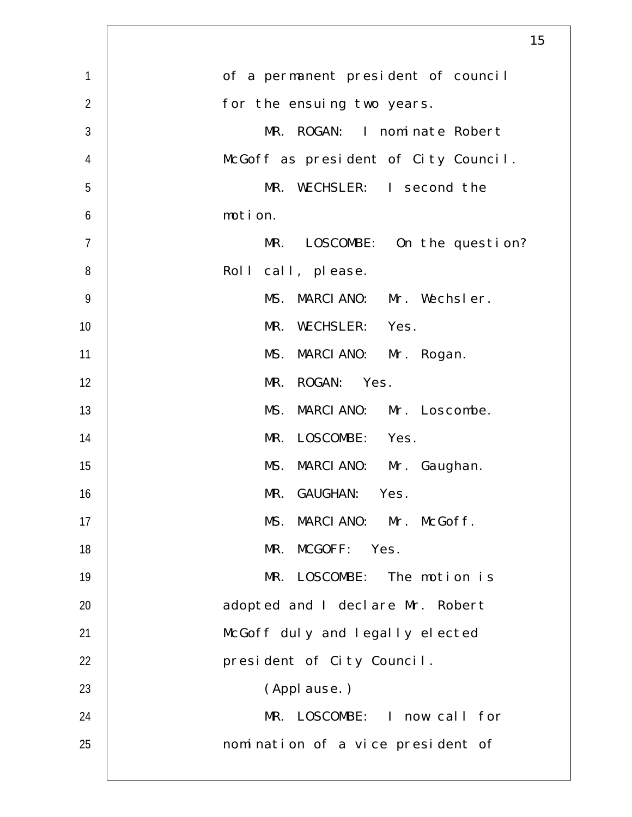|                | 15                                   |
|----------------|--------------------------------------|
| $\mathbf{1}$   | of a permanent president of council  |
| $\overline{2}$ | for the ensuing two years.           |
| $\mathfrak{Z}$ | MR. ROGAN: I nominate Robert         |
| $\overline{4}$ | McGoff as president of City Council. |
| 5              | MR. WECHSLER: I second the           |
| 6              | motion.                              |
| $\overline{7}$ | MR.<br>LOSCOMBE: On the question?    |
| 8              | Roll call, please.                   |
| $\overline{9}$ | MS. MARCIANO: Mr. Wechsler.          |
| 10             | MR. WECHSLER: Yes.                   |
| 11             | MS. MARCIANO: Mr. Rogan.             |
| 12             | MR. ROGAN: Yes.                      |
| 13             | MS. MARCIANO: Mr. Loscombe.          |
| 14             | MR. LOSCOMBE: Yes.                   |
| 15             | MS. MARCIANO: Mr. Gaughan.           |
| 16             | MR. GAUGHAN: Yes.                    |
| 17             | MS. MARCIANO: Mr. McGoff.            |
| 18             | MR. MCGOFF: Yes.                     |
| 19             | MR. LOSCOMBE: The motion is          |
| 20             | adopted and I declare Mr. Robert     |
| 21             | McGoff duly and legally elected      |
| 22             | president of City Council.           |
| 23             | (Applause.)                          |
| 24             | MR. LOSCOMBE: I now call for         |
| 25             | nomination of a vice president of    |
|                |                                      |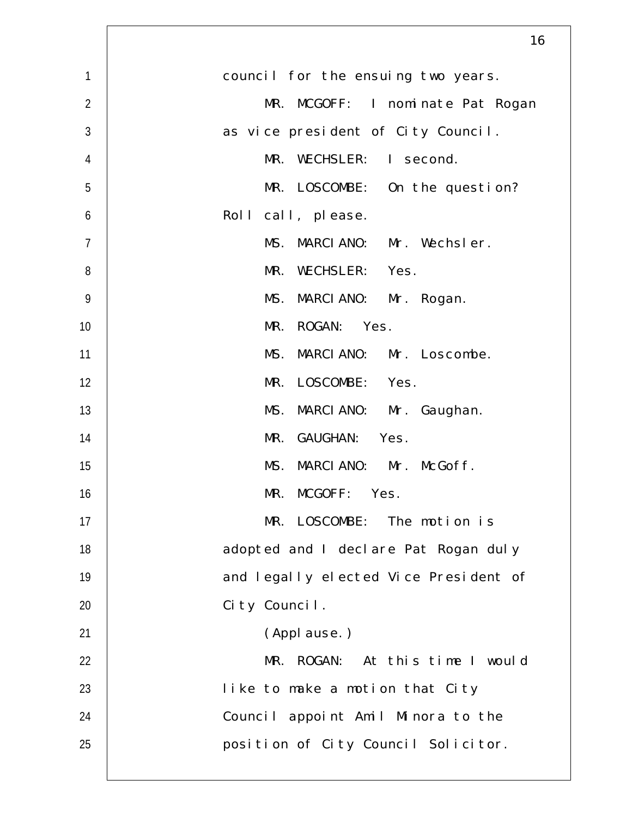|                | 16                                    |
|----------------|---------------------------------------|
| $\mathbf{1}$   | council for the ensuing two years.    |
| $\overline{2}$ | MR. MCGOFF: I nominate Pat Rogan      |
| $\mathfrak{Z}$ | as vice president of City Council.    |
| $\overline{4}$ | MR. WECHSLER: I second.               |
| 5              | MR. LOSCOMBE: On the question?        |
| 6              | Roll call, please.                    |
| $\overline{7}$ | MS. MARCIANO: Mr. Wechsler.           |
| 8              | MR. WECHSLER: Yes.                    |
| $\overline{9}$ | MS. MARCIANO: Mr. Rogan.              |
| 10             | MR. ROGAN: Yes.                       |
| 11             | MS. MARCIANO: Mr. Loscombe.           |
| 12             | MR. LOSCOMBE: Yes.                    |
| 13             | MS. MARCIANO: Mr. Gaughan.            |
| 14             | MR. GAUGHAN: Yes.                     |
| 15             | MS. MARCIANO: Mr. McGoff.             |
| 16             | MR. MCGOFF: Yes.                      |
| 17             | MR. LOSCOMBE: The motion is           |
| 18             | adopted and I declare Pat Rogan duly  |
| 19             | and legally elected Vice President of |
| 20             | City Council.                         |
| 21             | (Applause.)                           |
| 22             | MR. ROGAN: At this time I would       |
| 23             | like to make a motion that City       |
| 24             | Council appoint Amil Minora to the    |
| 25             | position of City Council Solicitor.   |
|                |                                       |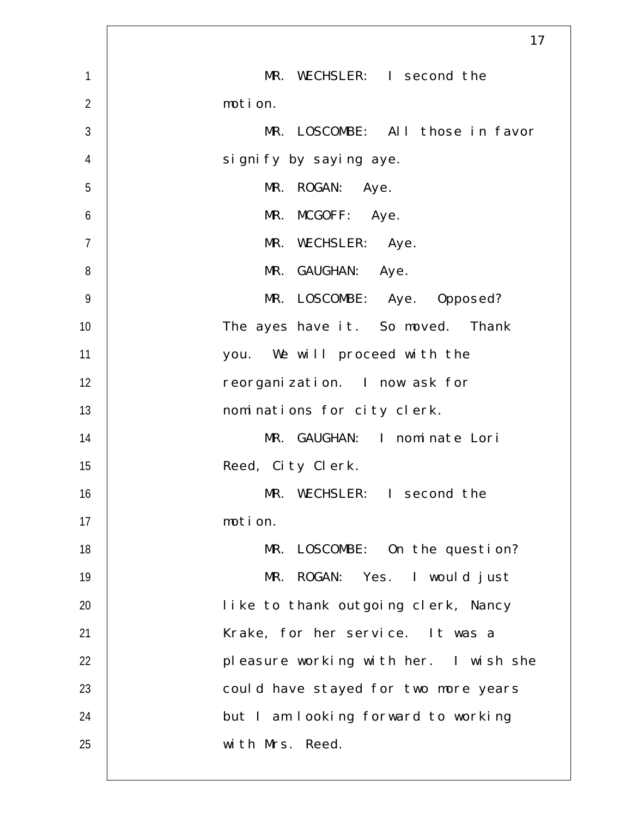|                | 17                                    |
|----------------|---------------------------------------|
| $\mathbf{1}$   | MR. WECHSLER: I second the            |
| $\overline{2}$ | motion.                               |
| 3              | MR. LOSCOMBE: All those in favor      |
| $\overline{4}$ | signify by saying aye.                |
| 5              | MR. ROGAN: Aye.                       |
| 6              | MR. MCGOFF: Aye.                      |
| $\overline{7}$ | MR. WECHSLER: Aye.                    |
| 8              | MR. GAUGHAN: Aye.                     |
| $\overline{9}$ | MR. LOSCOMBE: Aye. Opposed?           |
| 10             | The ayes have it. So moved. Thank     |
| 11             | you. We will proceed with the         |
| 12             | reorganization. I now ask for         |
| 13             | nominations for city clerk.           |
| 14             | MR. GAUGHAN: I nominate Lori          |
| 15             | Reed, City Clerk.                     |
| 16             | MR. WECHSLER: I second the            |
| 17             | motion.                               |
| 18             | MR.<br>LOSCOMBE: On the question?     |
| 19             | MR. ROGAN: Yes. I would just          |
| 20             | like to thank outgoing clerk, Nancy   |
| 21             | Krake, for her service. It was a      |
| 22             | pleasure working with her. I wish she |
| 23             | could have stayed for two more years  |
| 24             | but I am looking forward to working   |
| 25             | with Mrs. Reed.                       |
|                |                                       |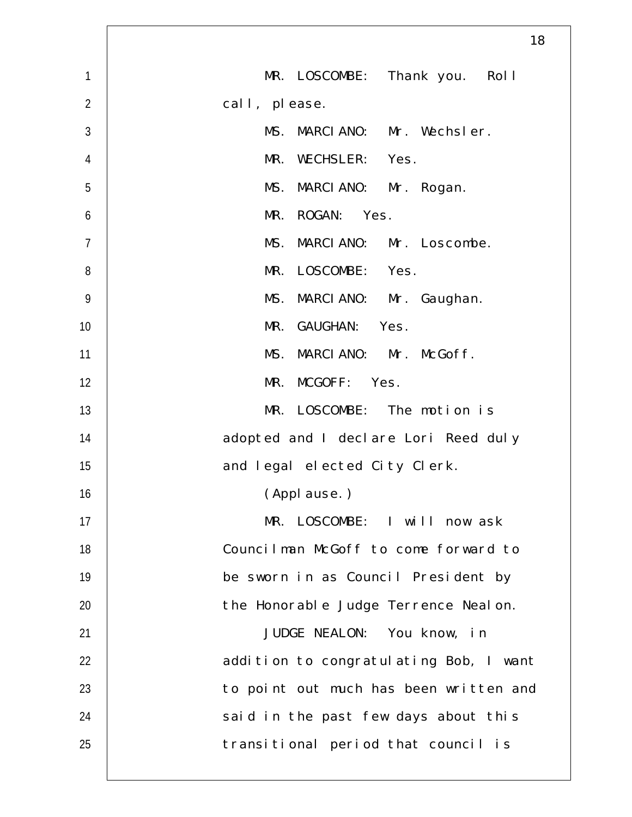|                | 18                                     |
|----------------|----------------------------------------|
| $\mathbf{1}$   | MR. LOSCOMBE: Thank you. Roll          |
| $\overline{2}$ | call, please.                          |
| $\mathfrak{Z}$ | MS.<br>MARCIANO: Mr. Wechsler.         |
| $\overline{4}$ | MR. WECHSLER: Yes.                     |
| 5              | MS. MARCIANO: Mr. Rogan.               |
| 6              | MR. ROGAN: Yes.                        |
| $\overline{7}$ | MS. MARCIANO: Mr. Loscombe.            |
| 8              | LOSCOMBE: Yes.<br>MR.                  |
| 9              | MS. MARCIANO: Mr. Gaughan.             |
| 10             | MR. GAUGHAN: Yes.                      |
| 11             | MS. MARCIANO: Mr. McGoff.              |
| 12             | MR. MCGOFF: Yes.                       |
| 13             | MR. LOSCOMBE: The motion is            |
| 14             | adopted and I declare Lori Reed duly   |
| 15             | and legal elected City Clerk.          |
| 16             | (Appl ause. )                          |
| 17             | MR. LOSCOMBE: I will now ask           |
| 18             | Councilman McGoff to come forward to   |
| 19             | be sworn in as Council President by    |
| 20             | the Honorable Judge Terrence Nealon.   |
| 21             | JUDGE NEALON: You know, in             |
| 22             | addition to congratulating Bob, I want |
| 23             | to point out much has been written and |
| 24             | said in the past few days about this   |
| 25             | transitional period that council is    |
|                |                                        |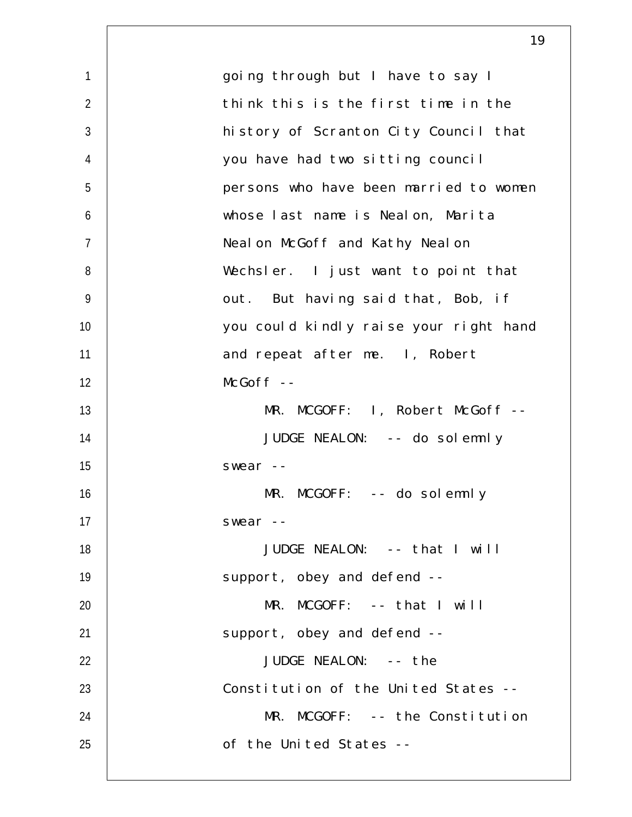|                | 19                                     |
|----------------|----------------------------------------|
| $\mathbf{1}$   | going through but I have to say I      |
| $\overline{2}$ | think this is the first time in the    |
| $\mathfrak{Z}$ | history of Scranton City Council that  |
| $\overline{4}$ | you have had two sitting council       |
| 5              | persons who have been married to women |
| 6              | whose last name is Nealon, Marita      |
| $\overline{7}$ | Neal on McGoff and Kathy Neal on       |
| 8              | Wechsler. I just want to point that    |
| $\overline{9}$ | out. But having said that, Bob, if     |
| 10             | you could kindly raise your right hand |
| 11             | and repeat after me. I, Robert         |
| 12             | $McGoff$ --                            |
| 13             | MR. MCGOFF: 1, Robert McGoff --        |
| 14             | JUDGE NEALON: -- do solemnly           |
| 15             | swear --                               |
| 16             | MR. MCGOFF: -- do solemnly             |
| 17             | $swear -$                              |
| 18             | JUDGE NEALON: -- that I will           |
| 19             | support, obey and defend --            |
| 20             | $MR. MCGOFF: -- that I will$           |
| 21             | support, obey and defend --            |
| 22             | JUDGE NEALON: -- the                   |
| 23             | Constitution of the United States --   |
| 24             | MR. MCGOFF: -- the Constitution        |
| 25             | of the United States --                |
|                |                                        |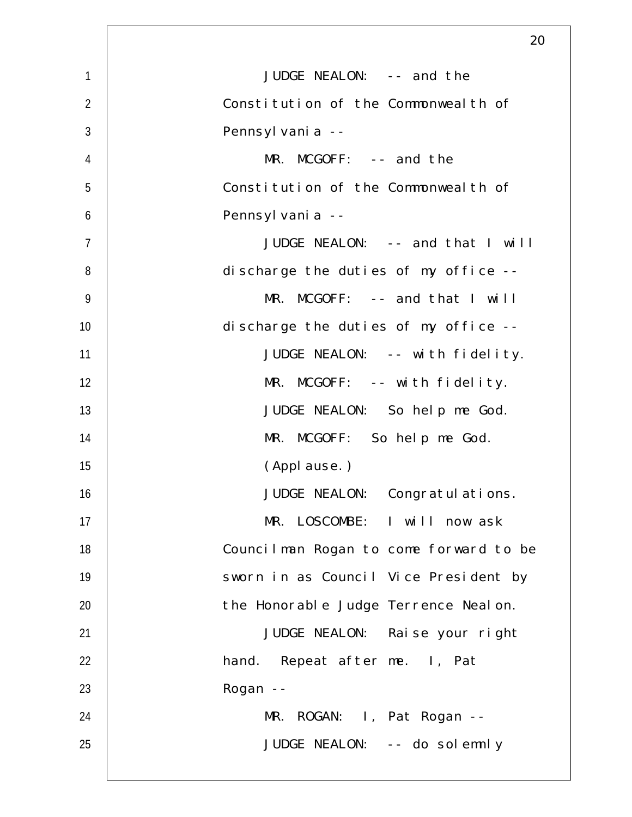|                | 20                                     |
|----------------|----------------------------------------|
| 1              | JUDGE NEALON: -- and the               |
| $\overline{2}$ | Constitution of the Commonweal th of   |
| $\mathfrak{Z}$ | Pennsyl vani a --                      |
| $\overline{4}$ | $MR. MCGOFF: -- and the$               |
| 5              | Constitution of the Commonweal th of   |
| 6              | Pennsyl vani a --                      |
| $\overline{7}$ | JUDGE NEALON: -- and that I will       |
| 8              | discharge the duties of my office --   |
| $\overline{9}$ | $MR. MCGOFF: -- and that I will$       |
| 10             | discharge the duties of my office --   |
| 11             | JUDGE NEALON: -- with fidelity.        |
| 12             | MR. MCGOFF: -- with fidelity.          |
| 13             | JUDGE NEALON: So help me God.          |
| 14             | MR. MCGOFF: So help me God.            |
| 15             | (Applause.)                            |
| 16             | JUDGE NEALON: Congratulations.         |
| 17             | MR. LOSCOMBE: I will now ask           |
| 18             | Councilman Rogan to come forward to be |
| 19             | sworn in as Council Vice President by  |
| 20             | the Honorable Judge Terrence Nealon.   |
| 21             | JUDGE NEALON: Raise your right         |
| 22             | hand. Repeat after me. I, Pat          |
| 23             | Rogan --                               |
| 24             | MR. ROGAN: I, Pat Rogan --             |
| 25             | JUDGE NEALON: -- do solemnly           |
|                |                                        |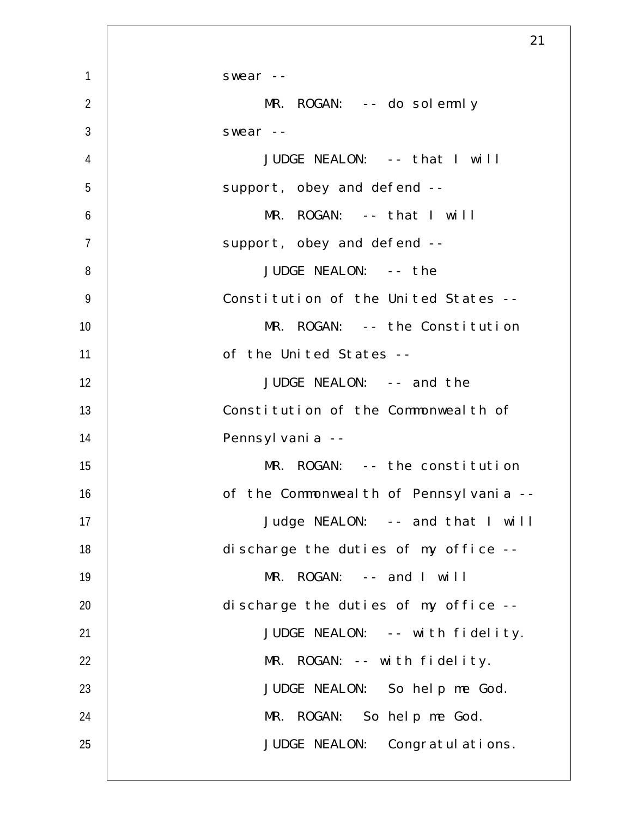|                | 21                                      |
|----------------|-----------------------------------------|
| $\mathbf{1}$   | swear --                                |
| $\overline{2}$ | $MR. ROGAN: -- do soldemnly$            |
| 3              | swear --                                |
| 4              | JUDGE NEALON: -- that I will            |
| 5              | support, obey and defend --             |
| 6              | MR. ROGAN: -- that I will               |
| $\overline{7}$ | support, obey and defend --             |
| 8              | JUDGE NEALON: -- the                    |
| $\overline{9}$ | Constitution of the United States --    |
| 10             | MR. ROGAN: -- the Constitution          |
| 11             | of the United States --                 |
| 12             | JUDGE NEALON: -- and the                |
| 13             | Constitution of the Commonweal th of    |
| 14             | Pennsyl vani a --                       |
| 15             | MR. ROGAN: -- the constitution          |
| 16             | of the Commonweal th of Pennsylvania -- |
| 17             | Judge NEALON: -- and that I will        |
| 18             | discharge the duties of my office --    |
| 19             | MR. ROGAN: -- and I will                |
| 20             | discharge the duties of my office --    |
| 21             | JUDGE NEALON: -- with fidelity.         |
| 22             | MR. ROGAN: -- with fidelity.            |
| 23             | JUDGE NEALON: So help me God.           |
| 24             | MR. ROGAN: So help me God.              |
| 25             | JUDGE NEALON: Congratul ations.         |
|                |                                         |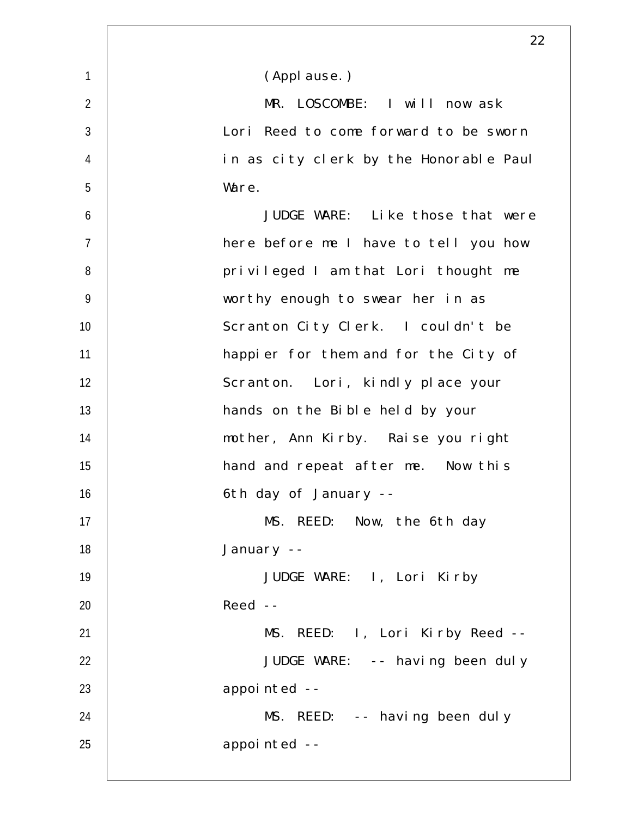|                | 22                                     |
|----------------|----------------------------------------|
| $\mathbf{1}$   | (Applause.)                            |
| $\overline{2}$ | MR. LOSCOMBE: I will now ask           |
| $\mathfrak{Z}$ | Lori Reed to come forward to be sworn  |
| $\overline{4}$ | in as city clerk by the Honorable Paul |
| 5              | Ware.                                  |
| 6              | JUDGE WARE: Like those that were       |
| $\overline{7}$ | here before me I have to tell you how  |
| 8              | privileged I am that Lori thought me   |
| $\overline{9}$ | worthy enough to swear her in as       |
| 10             | Scranton City Clerk. I couldn't be     |
| 11             | happier for them and for the City of   |
| 12             | Scranton. Lori, kindly place your      |
| 13             | hands on the Bible held by your        |
| 14             | mother, Ann Kirby. Raise you right     |
| 15             | hand and repeat after me. Now this     |
| 16             | 6th day of January --                  |
| 17             | MS. REED: Now, the 6th day             |
| 18             | January --                             |
| 19             | JUDGE WARE: I, Lori Kirby              |
| 20             | $Reed$ --                              |
| 21             | MS. REED: I, Lori Kirby Reed --        |
| 22             | JUDGE WARE: -- having been duly        |
| 23             | appointed --                           |
| 24             | MS. REED: -- having been duly          |
| 25             | appointed --                           |
|                |                                        |

 $\overline{\phantom{a}}$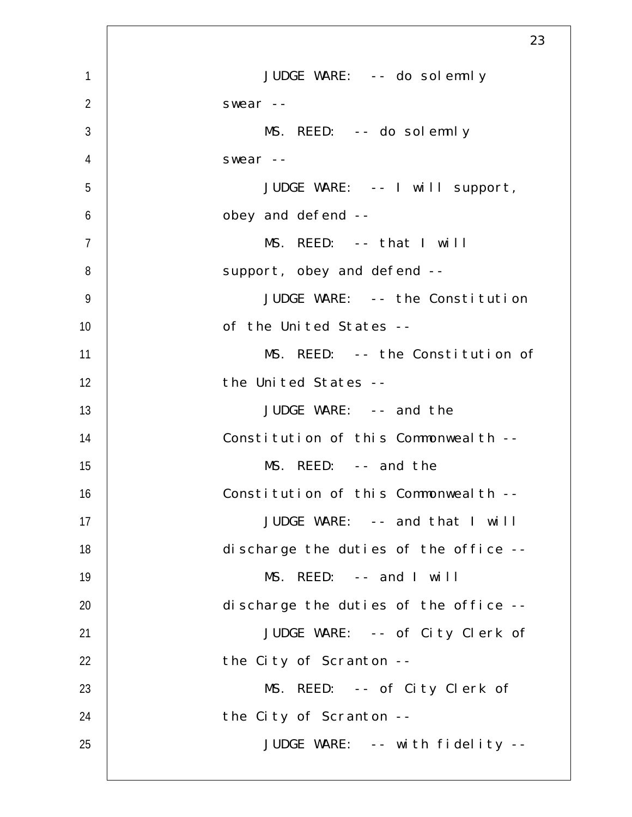|                | 23                                    |
|----------------|---------------------------------------|
| $\mathbf{1}$   | JUDGE WARE: -- do solemnly            |
| $\overline{2}$ | swear $--$                            |
| $\mathfrak{Z}$ | MS. REED: -- do solemnly              |
| $\overline{4}$ | swear $--$                            |
| 5              | JUDGE WARE: -- I will support,        |
| 6              | obey and defend --                    |
| $\overline{7}$ | MS. REED: -- that I will              |
| 8              | support, obey and defend --           |
| $\overline{9}$ | JUDGE WARE: -- the Constitution       |
| 10             | of the United States --               |
| 11             | MS. REED: -- the Constitution of      |
| 12             | the United States --                  |
| 13             | JUDGE WARE: -- and the                |
| 14             | Constitution of this Commonweal th -- |
| 15             | MS. REED: -- and the                  |
| 16             | Constitution of this Commonwealth --  |
| 17             | JUDGE WARE: -- and that I will        |
| 18             | discharge the duties of the office -- |
| 19             | MS. REED: -- and I will               |
| 20             | discharge the duties of the office -- |
| 21             | JUDGE WARE: -- of City Clerk of       |
| 22             | the City of Scranton --               |
| 23             | MS. REED: -- of City Clerk of         |
| 24             | the City of Scranton --               |
| 25             | JUDGE WARE: -- with fidelity --       |
|                |                                       |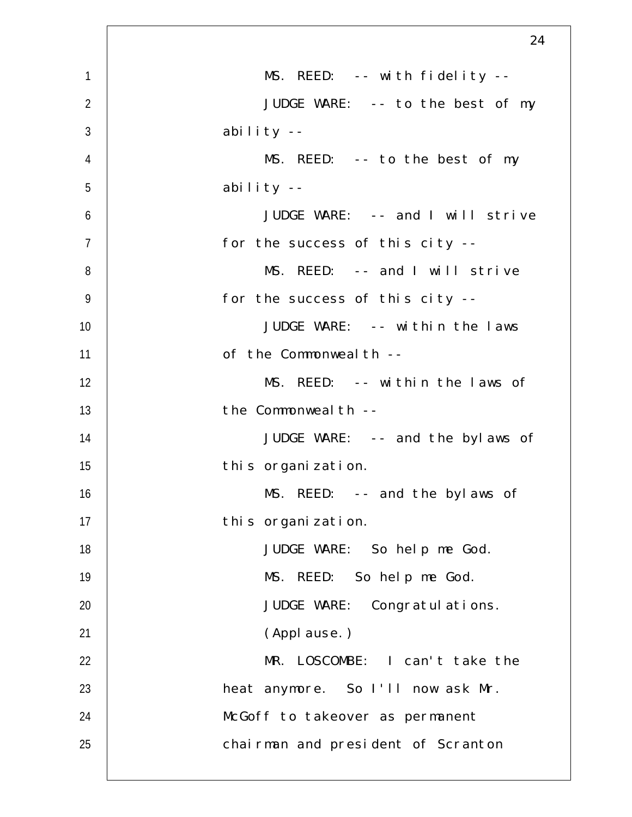|                | 24                                 |
|----------------|------------------------------------|
| $\mathbf{1}$   | MS. REED: -- with fidelity --      |
| $\overline{2}$ | JUDGE WARE: -- to the best of my   |
| $\mathfrak{Z}$ | ability --                         |
| $\overline{4}$ | MS. REED: -- to the best of my     |
| 5              | ability --                         |
| 6              | JUDGE WARE: -- and I will strive   |
| $\overline{7}$ | for the success of this city --    |
| 8              | MS. REED: -- and I will strive     |
| $\overline{9}$ | for the success of this city --    |
| 10             | JUDGE WARE: -- within the laws     |
| 11             | of the Commonweal th --            |
| 12             | MS. REED: -- within the laws of    |
| 13             | the Commonweal th --               |
| 14             | JUDGE WARE: -- and the bylaws of   |
| 15             | this organization.                 |
| 16             | MS. REED: -- and the bylaws of     |
| 17             | this organization.                 |
| 18             | JUDGE WARE: So help me God.        |
| 19             | MS. REED: So help me God.          |
| 20             | JUDGE WARE: Congratulations.       |
| 21             | (Applause.)                        |
| 22             | MR. LOSCOMBE: I can't take the     |
| 23             | heat anymore. So I'll now ask Mr.  |
| 24             | McGoff to takeover as permanent    |
| 25             | chairman and president of Scranton |
|                |                                    |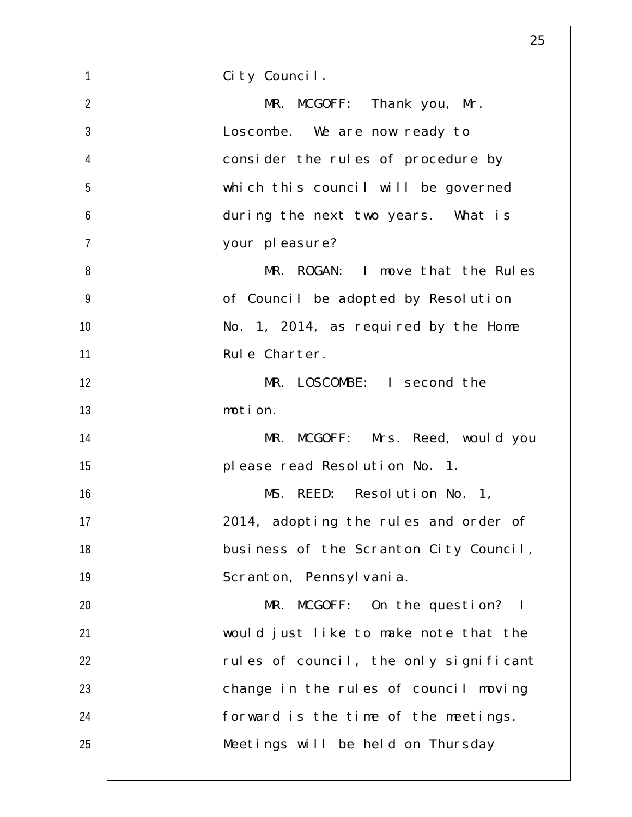|                | 25                                     |
|----------------|----------------------------------------|
| $\mathbf{1}$   | City Council.                          |
| $\overline{2}$ | MR. MCGOFF: Thank you, Mr.             |
| $\mathfrak{Z}$ | Loscombe. We are now ready to          |
| $\overline{4}$ | consider the rules of procedure by     |
| 5              | which this council will be governed    |
| 6              | during the next two years. What is     |
| $\overline{7}$ | your pleasure?                         |
| 8              | MR. ROGAN: I move that the Rules       |
| $\overline{9}$ | of Council be adopted by Resolution    |
| 10             | No. 1, 2014, as required by the Home   |
| 11             | Rule Charter.                          |
| 12             | MR. LOSCOMBE: I second the             |
| 13             | motion.                                |
| 14             | MR. MCGOFF: Mrs. Reed, would you       |
| 15             | please read Resolution No. 1.          |
| 16             | MS. REED: Resolution No. 1,            |
| 17             | 2014, adopting the rules and order of  |
| 18             | business of the Scranton City Council, |
| 19             | Scranton, Pennsylvania.                |
| 20             | MR. MCGOFF: On the question? I         |
| 21             | would just like to make note that the  |
| 22             | rules of council, the only significant |
| 23             | change in the rules of council moving  |
| 24             | forward is the time of the meetings.   |
| 25             | Meetings will be held on Thursday      |
|                |                                        |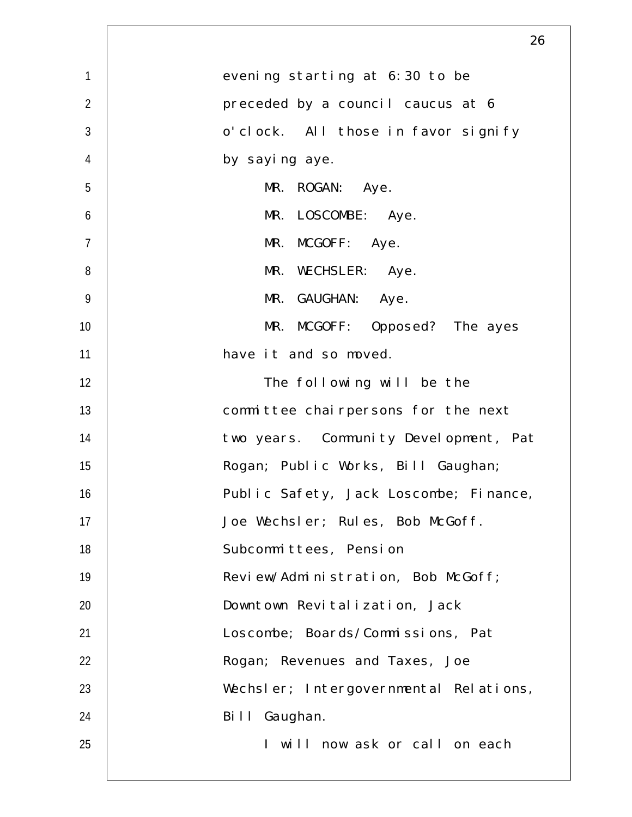|                | 26                                     |
|----------------|----------------------------------------|
| $\mathbf{1}$   | evening starting at 6:30 to be         |
| $\overline{2}$ | preceded by a council caucus at 6      |
| $\mathfrak{Z}$ | o'clock. All those in favor signify    |
| $\overline{4}$ | by saying aye.                         |
| 5              | MR. ROGAN: Aye.                        |
| 6              | MR. LOSCOMBE: Aye.                     |
| $\overline{7}$ | MR. MCGOFF: Aye.                       |
| 8              | MR. WECHSLER: Aye.                     |
| $\overline{9}$ | MR. GAUGHAN: Aye.                      |
| 10             | MR. MCGOFF: Opposed? The ayes          |
| 11             | have it and so moved.                  |
| 12             | The following will be the              |
| 13             | committee chairpersons for the next    |
| 14             | two years. Community Development, Pat  |
| 15             | Rogan; Public Works, Bill Gaughan;     |
| 16             | Public Safety, Jack Loscombe; Finance, |
| 17             | Joe Wechsler; Rules, Bob McGoff.       |
| 18             | Subcommittees, Pension                 |
| 19             | Review/Administration, Bob McGoff;     |
| 20             | Downtown Revitalization, Jack          |
| 21             | Loscombe; Boards/Commissions, Pat      |
| 22             | Rogan; Revenues and Taxes, Joe         |
| 23             | Wechsler; Intergovernmental Relations, |
| 24             | Bill Gaughan.                          |
| 25             | I will now ask or call on each         |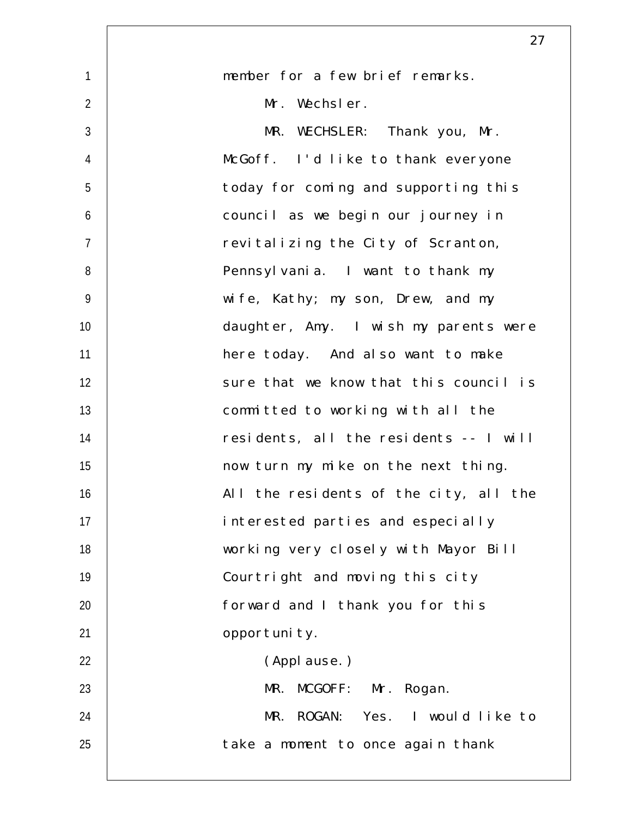|                | 27                                     |
|----------------|----------------------------------------|
| $\mathbf{1}$   | member for a few brief remarks.        |
| $\overline{2}$ | Mr. Wechsler.                          |
| $\mathfrak{Z}$ | MR. WECHSLER: Thank you, Mr.           |
| $\overline{4}$ | McGoff. I'd like to thank everyone     |
| 5              | today for coming and supporting this   |
| 6              | council as we begin our journey in     |
| $\overline{7}$ | revitalizing the City of Scranton,     |
| 8              | Pennsylvania. I want to thank my       |
| $\overline{9}$ | wife, Kathy; my son, Drew, and my      |
| 10             | daughter, Amy. I wish my parents were  |
| 11             | here today. And also want to make      |
| 12             | sure that we know that this council is |
| 13             | committed to working with all the      |
| 14             | residents, all the residents -- I will |
| 15             | now turn my mike on the next thing.    |
| 16             | All the residents of the city, all the |
| 17             | interested parties and especially      |
| 18             | working very closely with Mayor Bill   |
| 19             | Courtright and moving this city        |
| 20             | forward and I thank you for this       |
| 21             | opportunity.                           |
| 22             | (Applause.)                            |
| 23             | MR. MCGOFF: Mr. Rogan.                 |
| 24             | MR. ROGAN: Yes. I would like to        |
| 25             | take a moment to once again thank      |
|                |                                        |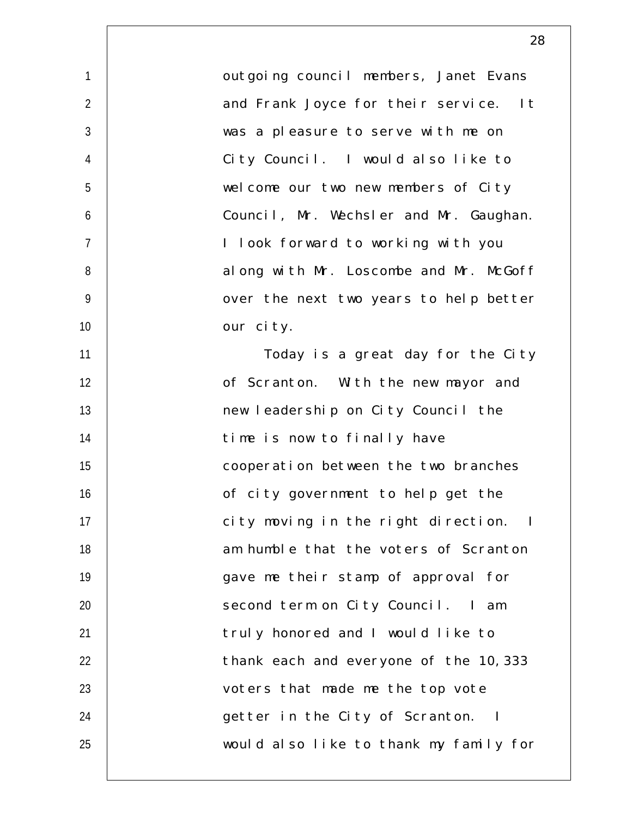| $\mathbf{1}$   | outgoing council members, Janet Evans  |
|----------------|----------------------------------------|
| $\overline{2}$ | and Frank Joyce for their service. It  |
| $\mathfrak{Z}$ | was a pleasure to serve with me on     |
| $\overline{4}$ | City Council. I would also like to     |
| 5              | welcome our two new members of City    |
| 6              | Council, Mr. Wechsler and Mr. Gaughan. |
| $\overline{7}$ | I look forward to working with you     |
| 8              | along with Mr. Loscombe and Mr. McGoff |
| 9              | over the next two years to help better |
| 10             | our city.                              |
| 11             | Today is a great day for the City      |
| 12             | of Scranton. With the new mayor and    |
| 13             | new leadership on City Council the     |
| 14             | time is now to finally have            |
| 15             | cooperation between the two branches   |
| 16             | of city government to help get the     |
| 17             | city moving in the right direction. I  |
| 18             | am humble that the voters of Scranton  |
| 19             | gave me their stamp of approval for    |
| 20             | second term on City Council. I am      |
| 21             | truly honored and I would like to      |
| 22             | thank each and everyone of the 10, 333 |
| 23             | voters that made me the top vote       |
| 24             | getter in the City of Scranton. I      |
| 25             | would also like to thank my family for |
|                |                                        |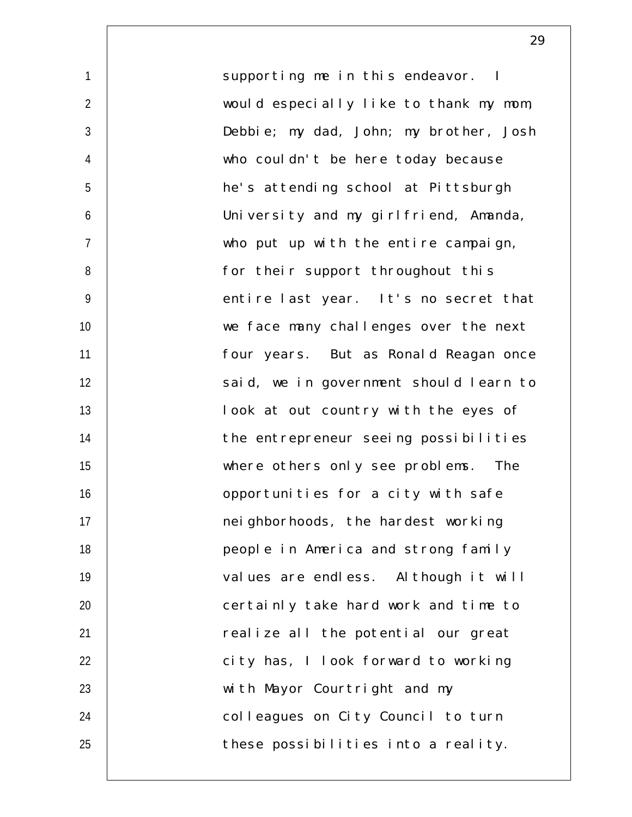1  $\mathfrak{D}$ 3 4 5 6 7 8 9 10 11 12 13 14 15 16 17 18 19 20 21 22 23 24 25 supporting me in this endeavor. I would especially like to thank my mom, Debbie; my dad, John; my brother, Josh who couldn't be here today because he's attending school at Pittsburgh University and my girlfriend, Amanda, who put up with the entire campaign, for their support throughout this entire last year. It's no secret that we face many challenges over the next four years. But as Ronald Reagan once said, we in government should learn to look at out country with the eyes of the entrepreneur seeing possibilities where others only see problems. The opportunities for a city with safe neighborhoods, the hardest working people in America and strong family values are endless. Although it will certainly take hard work and time to realize all the potential our great city has, I look forward to working with Mayor Courtright and my colleagues on City Council to turn these possibilities into a reality.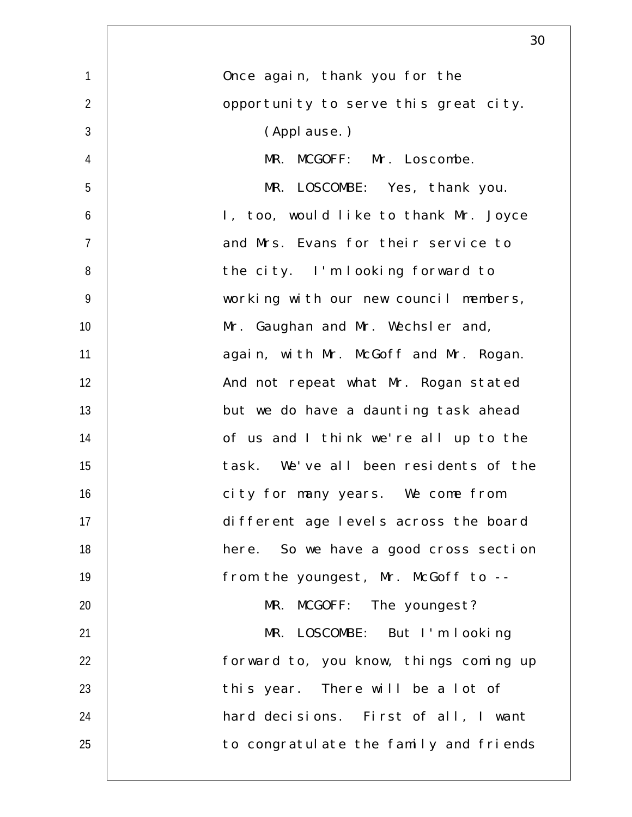|                | 30                                     |
|----------------|----------------------------------------|
| $\mathbf{1}$   | Once again, thank you for the          |
| $\overline{2}$ | opportunity to serve this great city.  |
| $\mathfrak{Z}$ | (Applause.)                            |
| $\overline{4}$ | MR.<br>MCGOFF: Mr. Loscombe.           |
| 5              | MR. LOSCOMBE: Yes, thank you.          |
| 6              | I, too, would like to thank Mr. Joyce  |
| $\overline{7}$ | and Mrs. Evans for their service to    |
| 8              | the city. I'm looking forward to       |
| $\overline{9}$ | working with our new council members,  |
| 10             | Mr. Gaughan and Mr. Wechsler and,      |
| 11             | again, with Mr. McGoff and Mr. Rogan.  |
| 12             | And not repeat what Mr. Rogan stated   |
| 13             | but we do have a daunting task ahead   |
| 14             | of us and I think we're all up to the  |
| 15             | task. We've all been residents of the  |
| 16             | city for many years. We come from      |
| 17             | different age levels across the board  |
| 18             | here. So we have a good cross section  |
| 19             | from the youngest, Mr. McGoff to --    |
| 20             | MR. MCGOFF: The youngest?              |
| 21             | MR. LOSCOMBE: But I'm looking          |
| 22             | forward to, you know, things coming up |
| 23             | this year. There will be a lot of      |
| 24             | hard decisions. First of all, I want   |
| 25             | to congratulate the family and friends |
|                |                                        |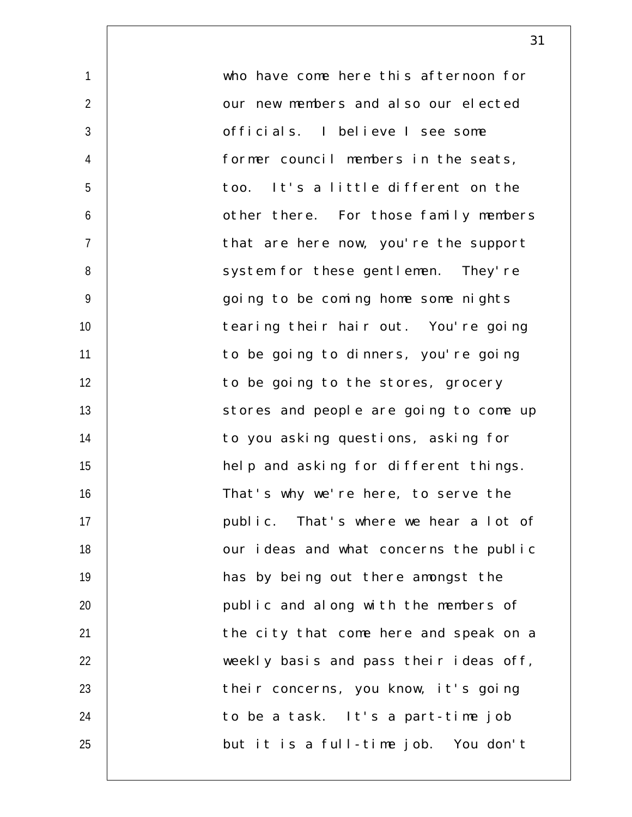| $\mathbf{1}$   | who have come here this afternoon for  |
|----------------|----------------------------------------|
| $\overline{2}$ | our new members and also our elected   |
| $\sqrt{3}$     | officials. I believe I see some        |
| $\overline{4}$ | former council members in the seats,   |
| 5              | too. It's a little different on the    |
| 6              | other there. For those family members  |
| $\overline{7}$ | that are here now, you're the support  |
| 8              | system for these gentlemen. They're    |
| 9              | going to be coming home some nights    |
| 10             | tearing their hair out. You're going   |
| 11             | to be going to dinners, you're going   |
| 12             | to be going to the stores, grocery     |
| 13             | stores and people are going to come up |
| 14             | to you asking questions, asking for    |
| 15             | help and asking for different things.  |
| 16             | That's why we're here, to serve the    |
| 17             | public. That's where we hear a lot of  |
| 18             | our ideas and what concerns the public |
| 19             | has by being out there amongst the     |
| 20             | public and along with the members of   |
| 21             | the city that come here and speak on a |
| 22             | weekly basis and pass their ideas off, |
| 23             | their concerns, you know, it's going   |
| 24             | to be a task. It's a part-time job     |
| 25             | but it is a full-time job. You don't   |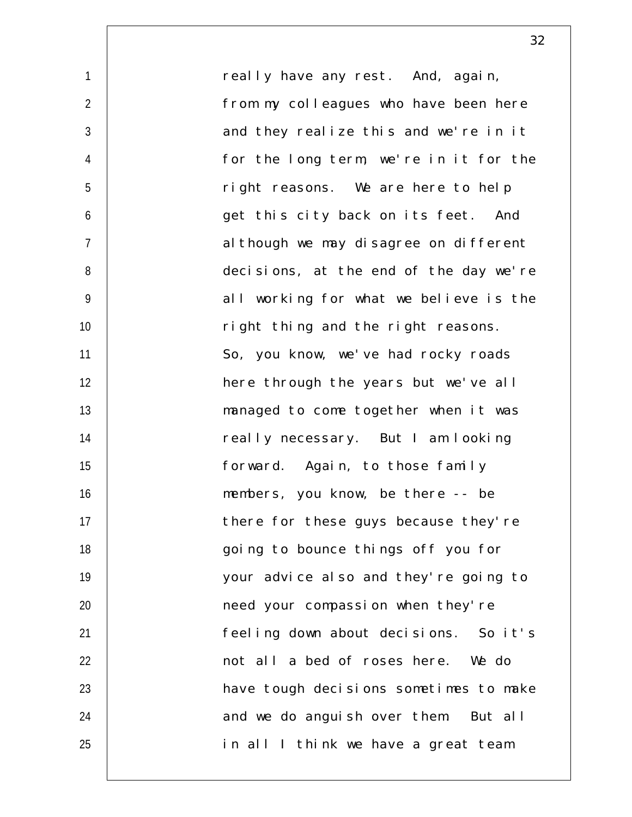1  $\mathfrak{D}$ 3 4 5 6 7 8 9 10 11 12 13 14 15 16 17 18 19 20 21 22 23 24 25 really have any rest. And, again, from my colleagues who have been here and they realize this and we're in it for the long term, we're in it for the right reasons. We are here to help get this city back on its feet. And although we may disagree on different decisions, at the end of the day we're all working for what we believe is the right thing and the right reasons. So, you know, we've had rocky roads here through the years but we've all managed to come together when it was really necessary. But I am looking forward. Again, to those family members, you know, be there -- be there for these guys because they're going to bounce things off you for your advice also and they're going to need your compassion when they're feeling down about decisions. So it's not all a bed of roses here. We do have tough decisions sometimes to make and we do anguish over them. But all in all I think we have a great team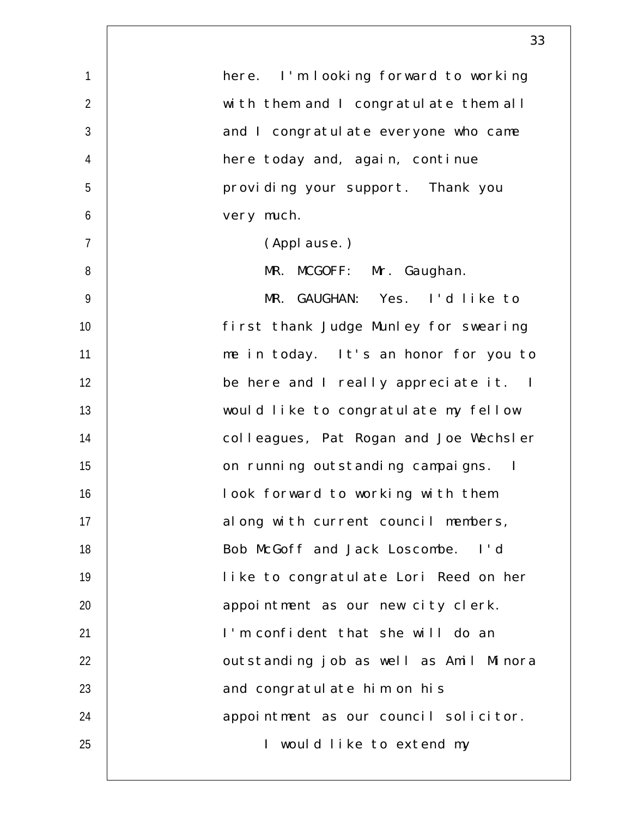| 1              | here. I'm looking forward to working   |
|----------------|----------------------------------------|
| $\overline{2}$ | with them and I congratulate them all  |
| $\mathfrak{Z}$ | and I congratulate everyone who came   |
| $\overline{4}$ | here today and, again, continue        |
| 5              | providing your support. Thank you      |
| 6              | very much.                             |
| $\overline{7}$ | (Applause.)                            |
| 8              | MR. MCGOFF: Mr. Gaughan.               |
| $\overline{9}$ | MR. GAUGHAN: Yes. I'd like to          |
| 10             | first thank Judge Munley for swearing  |
| 11             | me in today. It's an honor for you to  |
| 12             | be here and I really appreciate it. I  |
| 13             | would like to congratulate my fellow   |
| 14             | colleagues, Pat Rogan and Joe Wechsler |
| 15             | on running outstanding campaigns. I    |
| 16             | look forward to working with them      |
| 17             | along with current council members,    |
| 18             | Bob McGoff and Jack Loscombe. I'd      |
| 19             | like to congratulate Lori Reed on her  |
| 20             | appointment as our new city clerk.     |
| 21             | I'm confident that she will do an      |
| 22             | outstanding job as well as Amil Minora |
| 23             | and congratulate him on his            |
| 24             | appointment as our council solicitor.  |
| 25             | I would like to extend my              |
|                |                                        |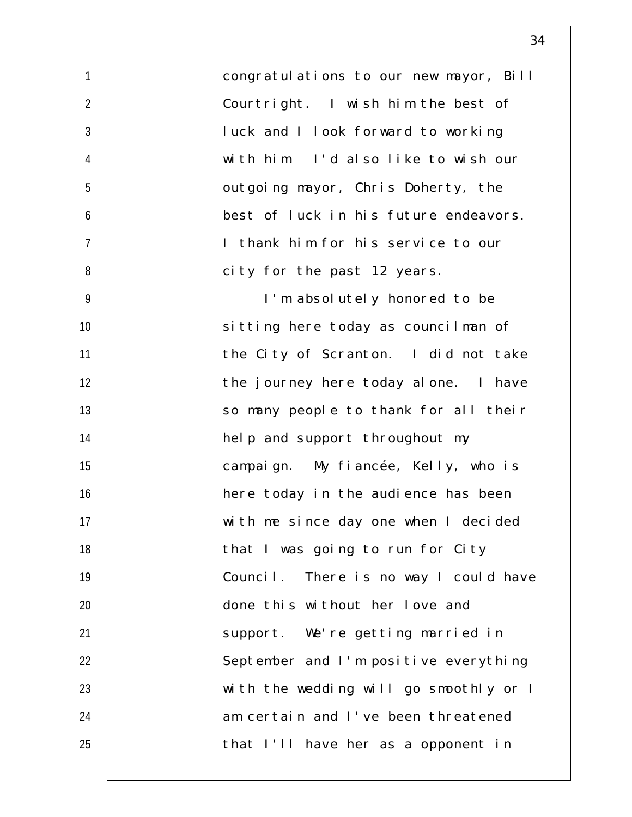| $\mathbf{1}$   | congratulations to our new mayor, Bill |
|----------------|----------------------------------------|
| $\overline{2}$ | Courtright. I wish him the best of     |
| $\sqrt{3}$     | luck and I look forward to working     |
| $\overline{4}$ | with him. I'd also like to wish our    |
| 5              | outgoing mayor, Chris Doherty, the     |
| 6              | best of luck in his future endeavors.  |
| $\overline{7}$ | I thank him for his service to our     |
| $\, 8$         | city for the past 12 years.            |
| 9              | I'm absolutely honored to be           |
| 10             | sitting here today as councilman of    |
| 11             | the City of Scranton. I did not take   |
| 12             | the journey here today alone. I have   |
| 13             | so many people to thank for all their  |
| 14             | help and support throughout my         |
| 15             | campaign. My fiancée, Kelly, who is    |
| 16             | here today in the audience has been    |
| 17             | with me since day one when I decided   |
| 18             | that I was going to run for City       |
| 19             | Council. There is no way I could have  |
| 20             | done this without her love and         |
| 21             | support. We're getting married in      |
| 22             | September and I'm positive everything  |
| 23             | with the wedding will go smoothly or I |
| 24             | am certain and I've been threatened    |
| 25             | that I'll have her as a opponent in    |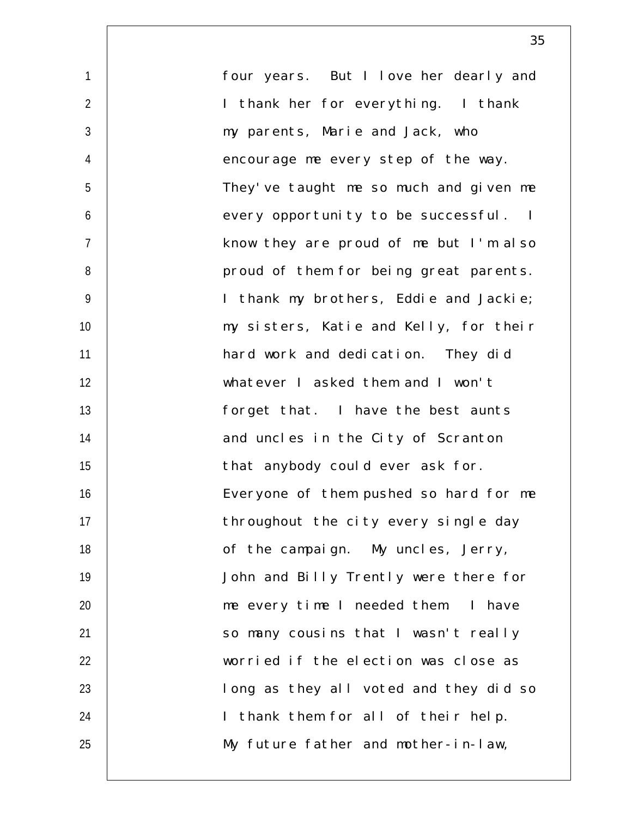four years. But I love her dearly and I thank her for everything. I thank my parents, Marie and Jack, who encourage me every step of the way. They've taught me so much and given me every opportunity to be successful. I know they are proud of me but I'm also proud of them for being great parents. I thank my brothers, Eddie and Jackie; my sisters, Katie and Kelly, for their hard work and dedication. They did whatever I asked them and I won't forget that. I have the best aunts and uncles in the City of Scranton that anybody could ever ask for. Everyone of them pushed so hard for me throughout the city every single day of the campaign. My uncles, Jerry, John and Billy Trently were there for me every time I needed them. I have so many cousins that I wasn't really worried if the election was close as long as they all voted and they did so I thank them for all of their help. My future father and mother-in-law,

1

 $\mathfrak{D}$ 

3

4

5

6

7

8

9

10

11

12

13

14

15

16

17

18

19

20

21

22

23

24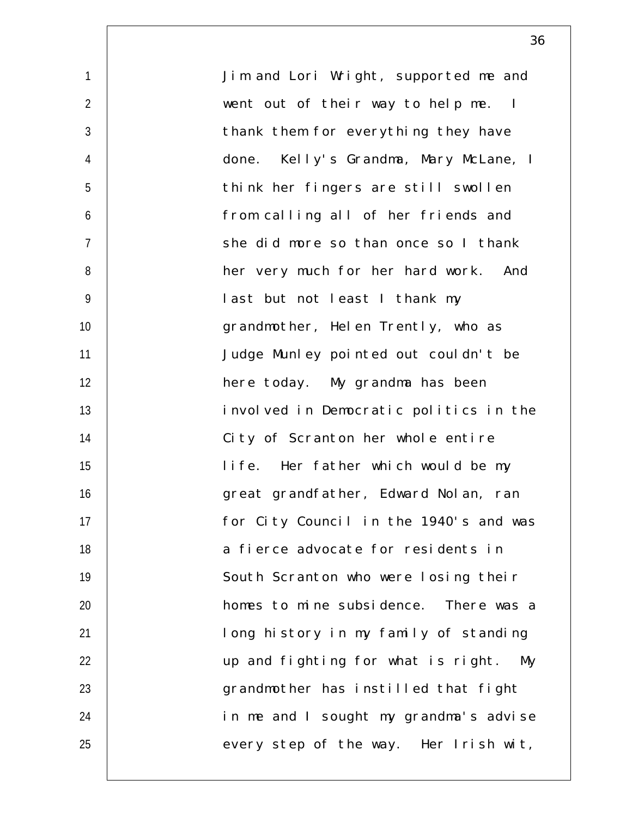1  $\mathfrak{D}$ 3 4 5 6 7 8 9 10 11 12 13 14 15 16 17 18 19 20 21 22 23 24 25 Jim and Lori Wright, supported me and went out of their way to help me. I thank them for everything they have done. Kelly's Grandma, Mary McLane, I think her fingers are still swollen from calling all of her friends and she did more so than once so I thank her very much for her hard work. And last but not least I thank my grandmother, Helen Trently, who as Judge Munley pointed out couldn't be here today. My grandma has been involved in Democratic politics in the City of Scranton her whole entire life. Her father which would be my great grandfather, Edward Nolan, ran for City Council in the 1940's and was a fierce advocate for residents in South Scranton who were losing their homes to mine subsidence. There was a long history in my family of standing up and fighting for what is right. My grandmother has instilled that fight in me and I sought my grandma's advise every step of the way. Her Irish wit,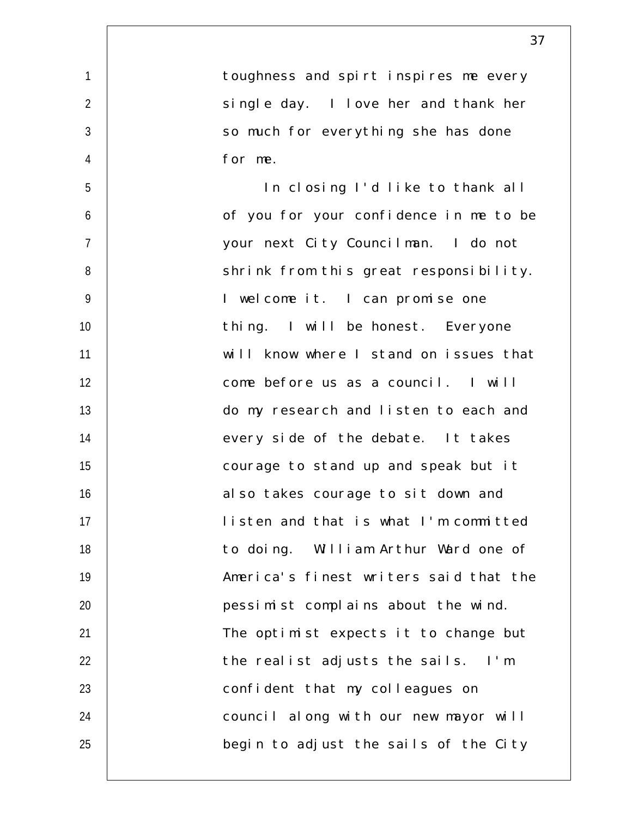1  $\mathfrak{D}$ 3 4 5 6 7 8 9 10 11 12 13 14 15 16 17 18 19 20 21 22 23 24 25 toughness and spirt inspires me every single day. I love her and thank her so much for everything she has done for me. In closing I'd like to thank all of you for your confidence in me to be your next City Councilman. I do not shrink from this great responsibility. I welcome it. I can promise one thing. I will be honest. Everyone will know where I stand on issues that come before us as a council. I will do my research and listen to each and every side of the debate. It takes courage to stand up and speak but it also takes courage to sit down and listen and that is what I'm committed to doing. William Arthur Ward one of America's finest writers said that the pessimist complains about the wind. The optimist expects it to change but the realist adjusts the sails. I'm confident that my colleagues on council along with our new mayor will begin to adjust the sails of the City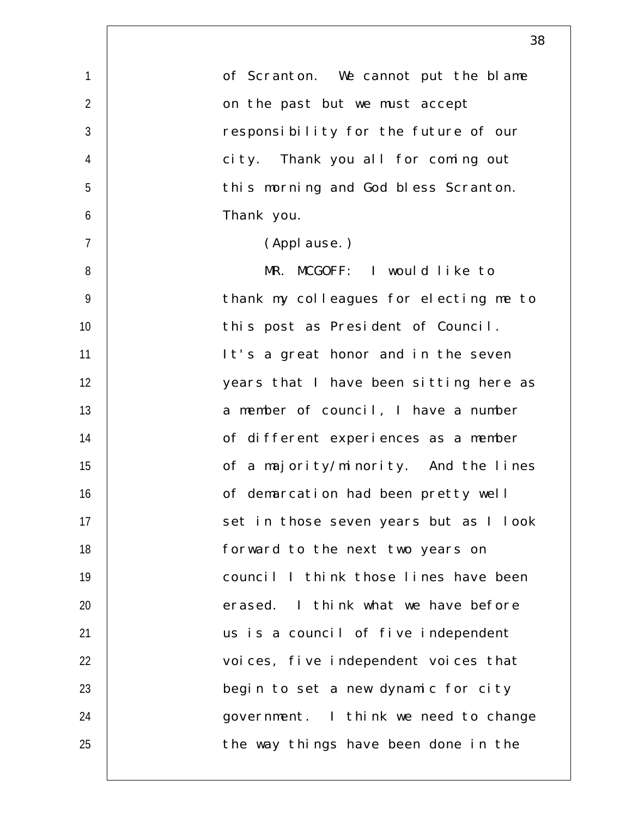| $\mathbf{1}$   | of Scranton. We cannot put the blame   |
|----------------|----------------------------------------|
| $\overline{2}$ | on the past but we must accept         |
| $\mathfrak{Z}$ | responsibility for the future of our   |
| $\overline{4}$ | city. Thank you all for coming out     |
| 5              | this morning and God bless Scranton.   |
| 6              | Thank you.                             |
| $\overline{7}$ | (Applause.)                            |
| 8              | MR. MCGOFF: I would like to            |
| 9              | thank my colleagues for electing me to |
| 10             | this post as President of Council.     |
| 11             | It's a great honor and in the seven    |
| 12             | years that I have been sitting here as |
| 13             | a member of council, I have a number   |
| 14             | of different experiences as a member   |
| 15             | of a majority/minority. And the lines  |
| 16             | of demarcation had been pretty well    |
| 17             | set in those seven years but as I look |
| 18             | forward to the next two years on       |
| 19             | council I think those lines have been  |
| 20             | erased. I think what we have before    |
| 21             | us is a council of five independent    |
| 22             | voices, five independent voices that   |
| 23             | begin to set a new dynamic for city    |
| 24             | government. I think we need to change  |
| 25             | the way things have been done in the   |
|                |                                        |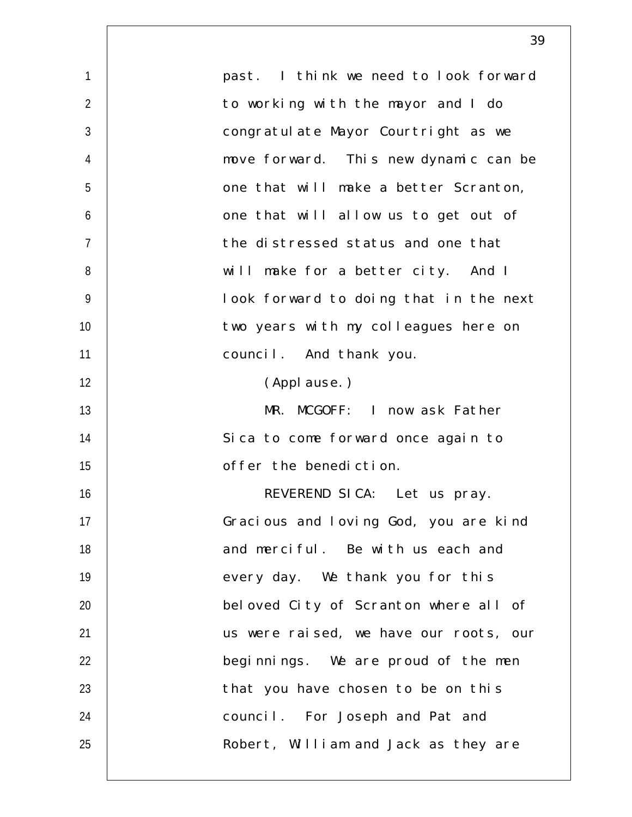| $\mathbf{1}$   | past. I think we need to look forward  |
|----------------|----------------------------------------|
| $\overline{2}$ | to working with the mayor and I do     |
| $\mathfrak{Z}$ | congratulate Mayor Courtright as we    |
| 4              | move forward. This new dynamic can be  |
| 5              | one that will make a better Scranton,  |
| 6              | one that will allow us to get out of   |
| $\overline{7}$ | the distressed status and one that     |
| 8              | will make for a better city. And I     |
| $\overline{9}$ | look forward to doing that in the next |
| 10             | two years with my colleagues here on   |
| 11             | council. And thank you.                |
| 12             | (Applause.)                            |
| 13             | MR. MCGOFF: I now ask Father           |
| 14             | Sica to come forward once again to     |
| 15             | offer the benediction.                 |
| 16             | REVEREND SICA: Let us pray.            |
| 17             | Gracious and loving God, you are kind  |
| 18             | and merciful. Be with us each and      |
| 19             | every day. We thank you for this       |
| 20             | beloved City of Scranton where all of  |
| 21             | us were raised, we have our roots, our |
| 22             | beginnings. We are proud of the men    |
| 23             | that you have chosen to be on this     |
| 24             | council. For Joseph and Pat and        |
| 25             | Robert, William and Jack as they are   |
|                |                                        |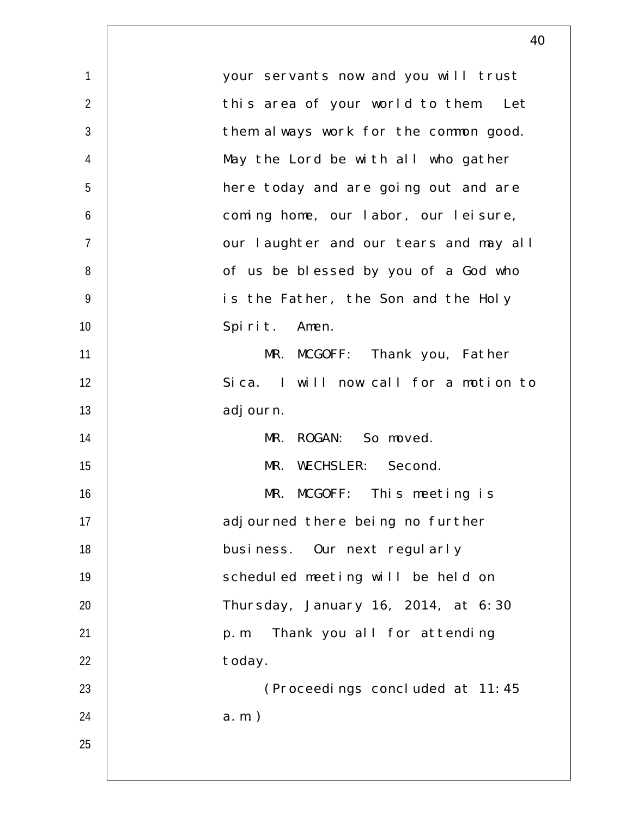| $\mathbf{1}$   | your servants now and you will trust   |
|----------------|----------------------------------------|
| $\overline{2}$ | this area of your world to them. Let   |
| $\mathfrak{Z}$ | them always work for the common good.  |
| $\overline{4}$ | May the Lord be with all who gather    |
| 5              | here today and are going out and are   |
| 6              | coming home, our labor, our leisure,   |
| $\overline{7}$ | our laughter and our tears and may all |
| 8              | of us be blessed by you of a God who   |
| $\overline{9}$ | is the Father, the Son and the Holy    |
| 10             | Spirit. Amen.                          |
| 11             | MR. MCGOFF: Thank you, Father          |
| 12             | Sica. I will now call for a motion to  |
| 13             | adj ourn.                              |
| 14             | MR. ROGAN: So moved.                   |
| 15             | MR. WECHSLER: Second.                  |
| 16             | MR. MCGOFF: This meeting is            |
| 17             | adjourned there being no further       |
| 18             | business. Our next regularly           |
| 19             | scheduled meeting will be held on      |
| 20             | Thursday, January 16, 2014, at 6:30    |
| 21             | Thank you all for attending<br>p. m.   |
| 22             | today.                                 |
| 23             | (Proceedings concluded at 11:45        |
| 24             | $a.m.$ )                               |
| 25             |                                        |
|                |                                        |